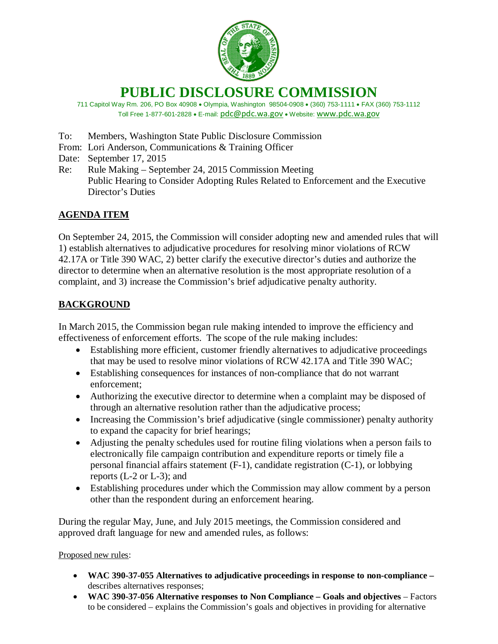

# **PUBLIC DISCLOSURE COMMISSION**

711 Capitol Way Rm. 206, PO Box 40908 • Olympia, Washington 98504-0908 • (360) 753-1111 • FAX (360) 753-1112 Toll Free 1-877-601-2828 • E-mail: [pdc@pdc.wa.gov](mailto:pdc@pdc.wa.gov) • Website: [www.pdc.wa.gov](http://www.pdc.wa.gov/)

- To: Members, Washington State Public Disclosure Commission
- From: Lori Anderson, Communications & Training Officer
- Date: September 17, 2015
- Re: Rule Making September 24, 2015 Commission Meeting Public Hearing to Consider Adopting Rules Related to Enforcement and the Executive Director's Duties

## **AGENDA ITEM**

On September 24, 2015, the Commission will consider adopting new and amended rules that will 1) establish alternatives to adjudicative procedures for resolving minor violations of RCW 42.17A or Title 390 WAC, 2) better clarify the executive director's duties and authorize the director to determine when an alternative resolution is the most appropriate resolution of a complaint, and 3) increase the Commission's brief adjudicative penalty authority.

# **BACKGROUND**

In March 2015, the Commission began rule making intended to improve the efficiency and effectiveness of enforcement efforts. The scope of the rule making includes:

- Establishing more efficient, customer friendly alternatives to adjudicative proceedings that may be used to resolve minor violations of RCW 42.17A and Title 390 WAC;
- Establishing consequences for instances of non-compliance that do not warrant enforcement;
- Authorizing the executive director to determine when a complaint may be disposed of through an alternative resolution rather than the adjudicative process;
- Increasing the Commission's brief adjudicative (single commissioner) penalty authority to expand the capacity for brief hearings;
- Adjusting the penalty schedules used for routine filing violations when a person fails to electronically file campaign contribution and expenditure reports or timely file a personal financial affairs statement (F-1), candidate registration (C-1), or lobbying reports (L-2 or L-3); and
- Establishing procedures under which the Commission may allow comment by a person other than the respondent during an enforcement hearing.

During the regular May, June, and July 2015 meetings, the Commission considered and approved draft language for new and amended rules, as follows:

## Proposed new rules:

- **WAC 390-37-055 Alternatives to adjudicative proceedings in response to non-compliance –** describes alternatives responses;
- **WAC 390-37-056 Alternative responses to Non Compliance – Goals and objectives** Factors to be considered – explains the Commission's goals and objectives in providing for alternative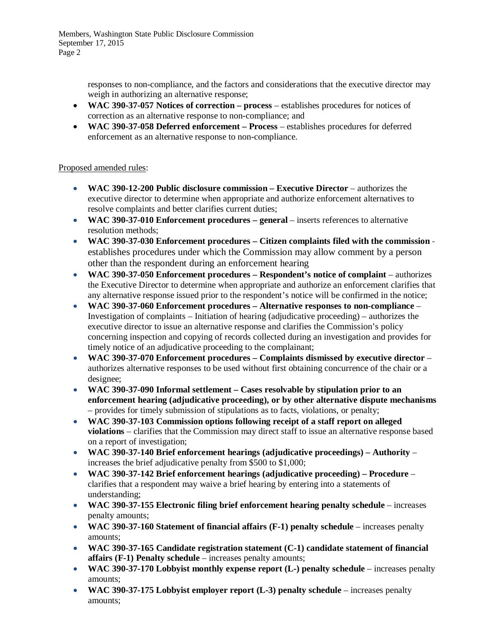Members, Washington State Public Disclosure Commission September 17, 2015 Page 2

> responses to non-compliance, and the factors and considerations that the executive director may weigh in authorizing an alternative response;

- **WAC 390-37-057 Notices of correction – process** establishes procedures for notices of correction as an alternative response to non-compliance; and
- **WAC 390-37-058 Deferred enforcement – Process** establishes procedures for deferred enforcement as an alternative response to non-compliance.

## Proposed amended rules:

- **WAC 390-12-200 Public disclosure commission – Executive Director** authorizes the executive director to determine when appropriate and authorize enforcement alternatives to resolve complaints and better clarifies current duties;
- **WAC 390-37-010 Enforcement procedures – general** inserts references to alternative resolution methods;
- **WAC 390-37-030 Enforcement procedures – Citizen complaints filed with the commission** establishes procedures under which the Commission may allow comment by a person other than the respondent during an enforcement hearing
- **WAC 390-37-050 Enforcement procedures – Respondent's notice of complaint** authorizes the Executive Director to determine when appropriate and authorize an enforcement clarifies that any alternative response issued prior to the respondent's notice will be confirmed in the notice;
- **WAC 390-37-060 Enforcement procedures – Alternative responses to non-compliance**  Investigation of complaints – Initiation of hearing (adjudicative proceeding) – authorizes the executive director to issue an alternative response and clarifies the Commission's policy concerning inspection and copying of records collected during an investigation and provides for timely notice of an adjudicative proceeding to the complainant;
- **WAC 390-37-070 Enforcement procedures – Complaints dismissed by executive director** authorizes alternative responses to be used without first obtaining concurrence of the chair or a designee;
- **WAC 390-37-090 Informal settlement – Cases resolvable by stipulation prior to an enforcement hearing (adjudicative proceeding), or by other alternative dispute mechanisms** – provides for timely submission of stipulations as to facts, violations, or penalty;
- **WAC 390-37-103 Commission options following receipt of a staff report on alleged violations** – clarifies that the Commission may direct staff to issue an alternative response based on a report of investigation;
- **WAC 390-37-140 Brief enforcement hearings (adjudicative proceedings) – Authority** increases the brief adjudicative penalty from \$500 to \$1,000;
- **WAC 390-37-142 Brief enforcement hearings (adjudicative proceeding) – Procedure** clarifies that a respondent may waive a brief hearing by entering into a statements of understanding;
- **WAC 390-37-155 Electronic filing brief enforcement hearing penalty schedule** increases penalty amounts;
- **WAC 390-37-160 Statement of financial affairs (F-1) penalty schedule** increases penalty amounts;
- **WAC 390-37-165 Candidate registration statement (C-1) candidate statement of financial affairs (F-1) Penalty schedule** – increases penalty amounts;
- **WAC 390-37-170 Lobbyist monthly expense report (L-) penalty schedule** increases penalty amounts;
- **WAC 390-37-175 Lobbyist employer report (L-3) penalty schedule** increases penalty amounts;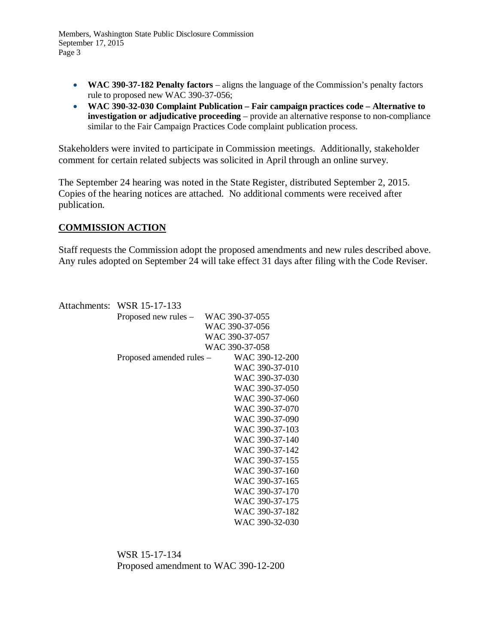Members, Washington State Public Disclosure Commission September 17, 2015 Page 3

- **WAC 390-37-182 Penalty factors** aligns the language of the Commission's penalty factors rule to proposed new WAC 390-37-056;
- **WAC 390-32-030 Complaint Publication – Fair campaign practices code – Alternative to investigation or adjudicative proceeding** – provide an alternative response to non-compliance similar to the Fair Campaign Practices Code complaint publication process.

Stakeholders were invited to participate in Commission meetings. Additionally, stakeholder comment for certain related subjects was solicited in April through an online survey.

The September 24 hearing was noted in the State Register, distributed September 2, 2015. Copies of the hearing notices are attached. No additional comments were received after publication.

## **COMMISSION ACTION**

Staff requests the Commission adopt the proposed amendments and new rules described above. Any rules adopted on September 24 will take effect 31 days after filing with the Code Reviser.

| Attachments: WSR 15-17-133 |
|----------------------------|
| Proposed new rules $-$     |

| Proposed new rules –     | WAC 390-37-055 |
|--------------------------|----------------|
|                          | WAC 390-37-056 |
|                          | WAC 390-37-057 |
|                          | WAC 390-37-058 |
| Proposed amended rules – | WAC 390-12-200 |
|                          | WAC 390-37-010 |
|                          | WAC 390-37-030 |
|                          | WAC 390-37-050 |
|                          | WAC 390-37-060 |
|                          | WAC 390-37-070 |
|                          | WAC 390-37-090 |
|                          | WAC 390-37-103 |
|                          | WAC 390-37-140 |
|                          | WAC 390-37-142 |
|                          | WAC 390-37-155 |
|                          | WAC 390-37-160 |
|                          | WAC 390-37-165 |
|                          | WAC 390-37-170 |
|                          | WAC 390-37-175 |
|                          | WAC 390-37-182 |
|                          | WAC 390-32-030 |
|                          |                |

WSR 15-17-134 Proposed amendment to WAC 390-12-200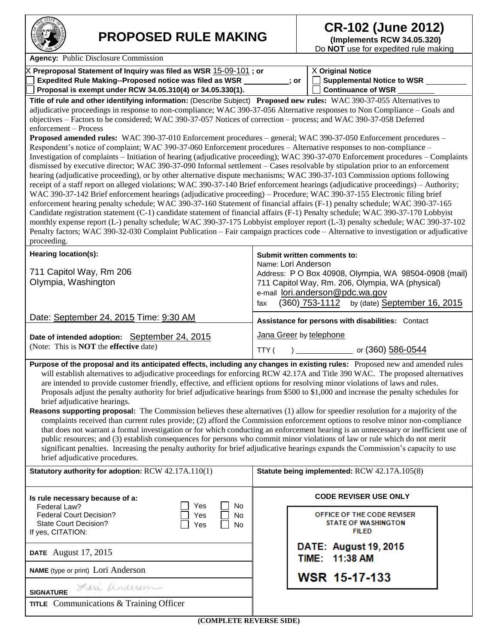|                                                                                                                                                                                                                                                                                                                                                                                                                                                                                                                                                                                                                                                                                                                                                                                          | <b>PROPOSED RULE MAKING</b>                                                                                                                                                                                                  |                                                                          |  |
|------------------------------------------------------------------------------------------------------------------------------------------------------------------------------------------------------------------------------------------------------------------------------------------------------------------------------------------------------------------------------------------------------------------------------------------------------------------------------------------------------------------------------------------------------------------------------------------------------------------------------------------------------------------------------------------------------------------------------------------------------------------------------------------|------------------------------------------------------------------------------------------------------------------------------------------------------------------------------------------------------------------------------|--------------------------------------------------------------------------|--|
| Agency: Public Disclosure Commission                                                                                                                                                                                                                                                                                                                                                                                                                                                                                                                                                                                                                                                                                                                                                     |                                                                                                                                                                                                                              | Do NOT use for expedited rule making                                     |  |
| $X$ Preproposal Statement of Inquiry was filed as WSR $15$ -09-101; or<br>Expedited Rule Making--Proposed notice was filed as WSR __________; or<br>Proposal is exempt under RCW 34.05.310(4) or 34.05.330(1).                                                                                                                                                                                                                                                                                                                                                                                                                                                                                                                                                                           |                                                                                                                                                                                                                              | X Original Notice<br>Supplemental Notice to WSR __<br>Continuance of WSR |  |
| Title of rule and other identifying information: (Describe Subject) Proposed new rules: WAC 390-37-055 Alternatives to<br>adjudicative proceedings in response to non-compliance; WAC 390-37-056 Alternative responses to Non Compliance – Goals and<br>objectives - Factors to be considered; WAC 390-37-057 Notices of correction - process; and WAC 390-37-058 Deferred<br>enforcement - Process<br>Proposed amended rules: WAC 390-37-010 Enforcement procedures - general; WAC 390-37-050 Enforcement procedures -                                                                                                                                                                                                                                                                  |                                                                                                                                                                                                                              |                                                                          |  |
| Respondent's notice of complaint; WAC 390-37-060 Enforcement procedures - Alternative responses to non-compliance -<br>Investigation of complaints – Initiation of hearing (adjudicative proceeding); WAC 390-37-070 Enforcement procedures – Complaints<br>dismissed by executive director; WAC 390-37-090 Informal settlement – Cases resolvable by stipulation prior to an enforcement<br>hearing (adjudicative proceeding), or by other alternative dispute mechanisms; WAC 390-37-103 Commission options following<br>receipt of a staff report on alleged violations; WAC 390-37-140 Brief enforcement hearings (adjudicative proceedings) - Authority;<br>WAC 390-37-142 Brief enforcement hearings (adjudicative proceeding) - Procedure; WAC 390-37-155 Electronic filing brief |                                                                                                                                                                                                                              |                                                                          |  |
| enforcement hearing penalty schedule; WAC 390-37-160 Statement of financial affairs (F-1) penalty schedule; WAC 390-37-165<br>Candidate registration statement (C-1) candidate statement of financial affairs (F-1) Penalty schedule; WAC 390-37-170 Lobbyist<br>monthly expense report (L-) penalty schedule; WAC 390-37-175 Lobbyist employer report (L-3) penalty schedule; WAC 390-37-102<br>Penalty factors; WAC 390-32-030 Complaint Publication – Fair campaign practices code – Alternative to investigation or adjudicative<br>proceeding.                                                                                                                                                                                                                                      |                                                                                                                                                                                                                              |                                                                          |  |
| Hearing location(s):                                                                                                                                                                                                                                                                                                                                                                                                                                                                                                                                                                                                                                                                                                                                                                     |                                                                                                                                                                                                                              | Submit written comments to:                                              |  |
| 711 Capitol Way, Rm 206<br>Olympia, Washington                                                                                                                                                                                                                                                                                                                                                                                                                                                                                                                                                                                                                                                                                                                                           | Name: Lori Anderson<br>Address: P O Box 40908, Olympia, WA 98504-0908 (mail)<br>711 Capitol Way, Rm. 206, Olympia, WA (physical)<br>e-mail lori.anderson@pdc.wa.gov<br>(360) 753-1112<br>by (date) September 16, 2015<br>fax |                                                                          |  |
| Date: September 24, 2015 Time: 9:30 AM                                                                                                                                                                                                                                                                                                                                                                                                                                                                                                                                                                                                                                                                                                                                                   |                                                                                                                                                                                                                              | Assistance for persons with disabilities: Contact                        |  |
| Date of intended adoption: September 24, 2015<br>(Note: This is <b>NOT</b> the effective date)                                                                                                                                                                                                                                                                                                                                                                                                                                                                                                                                                                                                                                                                                           |                                                                                                                                                                                                                              | Jana Greer by telephone                                                  |  |
|                                                                                                                                                                                                                                                                                                                                                                                                                                                                                                                                                                                                                                                                                                                                                                                          | TTY (                                                                                                                                                                                                                        | or (360) 586-0544                                                        |  |
| Purpose of the proposal and its anticipated effects, including any changes in existing rules: Proposed new and amended rules<br>will establish alternatives to adjudicative proceedings for enforcing RCW 42.17A and Title 390 WAC. The proposed alternatives<br>are intended to provide customer friendly, effective, and efficient options for resolving minor violations of laws and rules.<br>Proposals adjust the penalty authority for brief adjudicative hearings from \$500 to \$1,000 and increase the penalty schedules for<br>brief adjudicative hearings.                                                                                                                                                                                                                    |                                                                                                                                                                                                                              |                                                                          |  |
| Reasons supporting proposal: The Commission believes these alternatives (1) allow for speedier resolution for a majority of the<br>complaints received than current rules provide; (2) afford the Commission enforcement options to resolve minor non-compliance<br>that does not warrant a formal investigation or for which conducting an enforcement hearing is an unnecessary or inefficient use of<br>public resources; and (3) establish consequences for persons who commit minor violations of law or rule which do not merit<br>significant penalties. Increasing the penalty authority for brief adjudicative hearings expands the Commission's capacity to use<br>brief adjudicative procedures.                                                                              |                                                                                                                                                                                                                              |                                                                          |  |
| Statutory authority for adoption: RCW 42.17A.110(1)                                                                                                                                                                                                                                                                                                                                                                                                                                                                                                                                                                                                                                                                                                                                      |                                                                                                                                                                                                                              | Statute being implemented: RCW 42.17A.105(8)                             |  |
| Is rule necessary because of a:<br>No.<br>Federal Law?<br>Yes                                                                                                                                                                                                                                                                                                                                                                                                                                                                                                                                                                                                                                                                                                                            |                                                                                                                                                                                                                              | <b>CODE REVISER USE ONLY</b>                                             |  |
| <b>Federal Court Decision?</b><br>No<br>Yes<br><b>State Court Decision?</b><br>Yes<br>No<br>If yes, CITATION:                                                                                                                                                                                                                                                                                                                                                                                                                                                                                                                                                                                                                                                                            |                                                                                                                                                                                                                              | OFFICE OF THE CODE REVISER<br><b>STATE OF WASHINGTON</b><br><b>FILED</b> |  |
| <b>DATE</b> August 17, 2015                                                                                                                                                                                                                                                                                                                                                                                                                                                                                                                                                                                                                                                                                                                                                              |                                                                                                                                                                                                                              | DATE: August 19, 2015<br>TIME: 11:38 AM                                  |  |
| <b>NAME</b> (type or print) Lori Anderson                                                                                                                                                                                                                                                                                                                                                                                                                                                                                                                                                                                                                                                                                                                                                |                                                                                                                                                                                                                              | <b>WSR 15-17-133</b>                                                     |  |
| Sen anderson<br><b>SIGNATURE</b>                                                                                                                                                                                                                                                                                                                                                                                                                                                                                                                                                                                                                                                                                                                                                         |                                                                                                                                                                                                                              |                                                                          |  |
| <b>TITLE</b> Communications & Training Officer                                                                                                                                                                                                                                                                                                                                                                                                                                                                                                                                                                                                                                                                                                                                           |                                                                                                                                                                                                                              |                                                                          |  |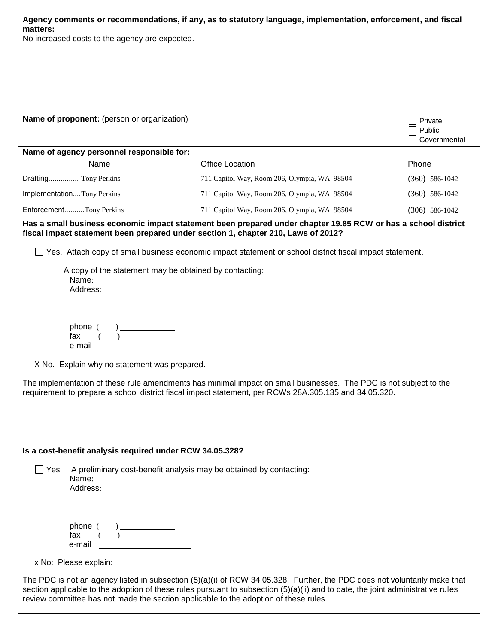|          |                                                                                                                                                                                                                                                                                                                                                                                                                                                                                                                                                                                                                                   | Agency comments or recommendations, if any, as to statutory language, implementation, enforcement, and fiscal                   |                  |
|----------|-----------------------------------------------------------------------------------------------------------------------------------------------------------------------------------------------------------------------------------------------------------------------------------------------------------------------------------------------------------------------------------------------------------------------------------------------------------------------------------------------------------------------------------------------------------------------------------------------------------------------------------|---------------------------------------------------------------------------------------------------------------------------------|------------------|
| matters: |                                                                                                                                                                                                                                                                                                                                                                                                                                                                                                                                                                                                                                   |                                                                                                                                 |                  |
|          | No increased costs to the agency are expected.                                                                                                                                                                                                                                                                                                                                                                                                                                                                                                                                                                                    |                                                                                                                                 |                  |
|          |                                                                                                                                                                                                                                                                                                                                                                                                                                                                                                                                                                                                                                   |                                                                                                                                 |                  |
|          |                                                                                                                                                                                                                                                                                                                                                                                                                                                                                                                                                                                                                                   |                                                                                                                                 |                  |
|          |                                                                                                                                                                                                                                                                                                                                                                                                                                                                                                                                                                                                                                   |                                                                                                                                 |                  |
|          |                                                                                                                                                                                                                                                                                                                                                                                                                                                                                                                                                                                                                                   |                                                                                                                                 |                  |
|          | Name of proponent: (person or organization)                                                                                                                                                                                                                                                                                                                                                                                                                                                                                                                                                                                       |                                                                                                                                 | Private          |
|          |                                                                                                                                                                                                                                                                                                                                                                                                                                                                                                                                                                                                                                   |                                                                                                                                 | Public           |
|          | Name of agency personnel responsible for:                                                                                                                                                                                                                                                                                                                                                                                                                                                                                                                                                                                         |                                                                                                                                 | Governmental     |
|          | Name                                                                                                                                                                                                                                                                                                                                                                                                                                                                                                                                                                                                                              | <b>Office Location</b>                                                                                                          | Phone            |
|          | Drafting Tony Perkins                                                                                                                                                                                                                                                                                                                                                                                                                                                                                                                                                                                                             | 711 Capitol Way, Room 206, Olympia, WA 98504                                                                                    | $(360)$ 586-1042 |
|          | ImplementationTony Perkins                                                                                                                                                                                                                                                                                                                                                                                                                                                                                                                                                                                                        | 711 Capitol Way, Room 206, Olympia, WA 98504                                                                                    | $(360)$ 586-1042 |
|          | EnforcementTony Perkins                                                                                                                                                                                                                                                                                                                                                                                                                                                                                                                                                                                                           | 711 Capitol Way, Room 206, Olympia, WA 98504                                                                                    | $(306)$ 586-1042 |
|          |                                                                                                                                                                                                                                                                                                                                                                                                                                                                                                                                                                                                                                   | Has a small business economic impact statement been prepared under chapter 19.85 RCW or has a school district                   |                  |
|          |                                                                                                                                                                                                                                                                                                                                                                                                                                                                                                                                                                                                                                   | fiscal impact statement been prepared under section 1, chapter 210, Laws of 2012?                                               |                  |
|          |                                                                                                                                                                                                                                                                                                                                                                                                                                                                                                                                                                                                                                   | Yes. Attach copy of small business economic impact statement or school district fiscal impact statement.                        |                  |
|          |                                                                                                                                                                                                                                                                                                                                                                                                                                                                                                                                                                                                                                   |                                                                                                                                 |                  |
|          | Name:                                                                                                                                                                                                                                                                                                                                                                                                                                                                                                                                                                                                                             | A copy of the statement may be obtained by contacting:                                                                          |                  |
|          | Address:                                                                                                                                                                                                                                                                                                                                                                                                                                                                                                                                                                                                                          |                                                                                                                                 |                  |
|          |                                                                                                                                                                                                                                                                                                                                                                                                                                                                                                                                                                                                                                   |                                                                                                                                 |                  |
|          |                                                                                                                                                                                                                                                                                                                                                                                                                                                                                                                                                                                                                                   |                                                                                                                                 |                  |
|          | phone (<br>fax                                                                                                                                                                                                                                                                                                                                                                                                                                                                                                                                                                                                                    |                                                                                                                                 |                  |
|          | e-mail                                                                                                                                                                                                                                                                                                                                                                                                                                                                                                                                                                                                                            |                                                                                                                                 |                  |
|          | X No. Explain why no statement was prepared.                                                                                                                                                                                                                                                                                                                                                                                                                                                                                                                                                                                      |                                                                                                                                 |                  |
|          |                                                                                                                                                                                                                                                                                                                                                                                                                                                                                                                                                                                                                                   |                                                                                                                                 |                  |
|          |                                                                                                                                                                                                                                                                                                                                                                                                                                                                                                                                                                                                                                   | The implementation of these rule amendments has minimal impact on small businesses. The PDC is not subject to the               |                  |
|          |                                                                                                                                                                                                                                                                                                                                                                                                                                                                                                                                                                                                                                   | requirement to prepare a school district fiscal impact statement, per RCWs 28A.305.135 and 34.05.320.                           |                  |
|          |                                                                                                                                                                                                                                                                                                                                                                                                                                                                                                                                                                                                                                   |                                                                                                                                 |                  |
|          |                                                                                                                                                                                                                                                                                                                                                                                                                                                                                                                                                                                                                                   |                                                                                                                                 |                  |
|          |                                                                                                                                                                                                                                                                                                                                                                                                                                                                                                                                                                                                                                   |                                                                                                                                 |                  |
|          | Is a cost-benefit analysis required under RCW 34.05.328?                                                                                                                                                                                                                                                                                                                                                                                                                                                                                                                                                                          |                                                                                                                                 |                  |
| _∣ Yes   |                                                                                                                                                                                                                                                                                                                                                                                                                                                                                                                                                                                                                                   | A preliminary cost-benefit analysis may be obtained by contacting:                                                              |                  |
|          | Name:                                                                                                                                                                                                                                                                                                                                                                                                                                                                                                                                                                                                                             |                                                                                                                                 |                  |
|          | Address:                                                                                                                                                                                                                                                                                                                                                                                                                                                                                                                                                                                                                          |                                                                                                                                 |                  |
|          |                                                                                                                                                                                                                                                                                                                                                                                                                                                                                                                                                                                                                                   |                                                                                                                                 |                  |
|          |                                                                                                                                                                                                                                                                                                                                                                                                                                                                                                                                                                                                                                   |                                                                                                                                 |                  |
|          | $\begin{tabular}{l} phone ( & ) \underline{\hspace{1cm}} \underline{\hspace{1cm}} \underline{\hspace{1cm}} \underline{\hspace{1cm}} \underline{\hspace{1cm}} \underline{\hspace{1cm}} \underline{\hspace{1cm}} \underline{\hspace{1cm}} \underline{\hspace{1cm}} \underline{\hspace{1cm}} \underline{\hspace{1cm}} \underline{\hspace{1cm}} \underline{\hspace{1cm}} \underline{\hspace{1cm}} \underline{\hspace{1cm}} \underline{\hspace{1cm}} \underline{\hspace{1cm}} \underline{\hspace{1cm}} \underline{\hspace{1cm}} \underline{\hspace{1cm}} \underline{\hspace{1cm}} \underline{\hspace{1cm}} \underline{\hspace{1cm}} \$ |                                                                                                                                 |                  |
|          | e-mail                                                                                                                                                                                                                                                                                                                                                                                                                                                                                                                                                                                                                            |                                                                                                                                 |                  |
|          | x No: Please explain:                                                                                                                                                                                                                                                                                                                                                                                                                                                                                                                                                                                                             |                                                                                                                                 |                  |
|          |                                                                                                                                                                                                                                                                                                                                                                                                                                                                                                                                                                                                                                   | The PDC is not an agency listed in subsection (5)(a)(i) of RCW 34.05.328. Further, the PDC does not voluntarily make that       |                  |
|          |                                                                                                                                                                                                                                                                                                                                                                                                                                                                                                                                                                                                                                   | section applicable to the adoption of these rules pursuant to subsection (5)(a)(ii) and to date, the joint administrative rules |                  |
|          |                                                                                                                                                                                                                                                                                                                                                                                                                                                                                                                                                                                                                                   | review committee has not made the section applicable to the adoption of these rules.                                            |                  |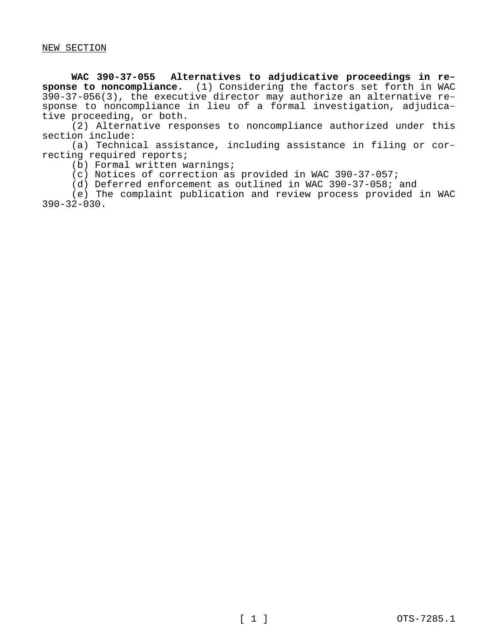**WAC 390-37-055 Alternatives to adjudicative proceedings in response to noncompliance.** (1) Considering the factors set forth in WAC 390-37-056(3), the executive director may authorize an alternative response to noncompliance in lieu of a formal investigation, adjudicative proceeding, or both.

(2) Alternative responses to noncompliance authorized under this section include:

(a) Technical assistance, including assistance in filing or correcting required reports;

(b) Formal written warnings;

(c) Notices of correction as provided in WAC 390-37-057;

(d) Deferred enforcement as outlined in WAC 390-37-058; and

(e) The complaint publication and review process provided in WAC  $390 - 32 - 030$ .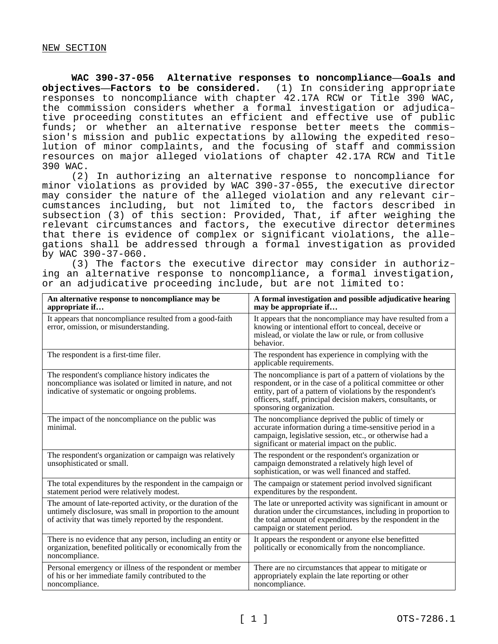**WAC 390-37-056 Alternative responses to noncompliance—Goals and objectives—Factors to be considered.** (1) In considering appropriate responses to noncompliance with chapter 42.17A RCW or Title 390 WAC, the commission considers whether a formal investigation or adjudicative proceeding constitutes an efficient and effective use of public funds; or whether an alternative response better meets the commission's mission and public expectations by allowing the expedited resolution of minor complaints, and the focusing of staff and commission resources on major alleged violations of chapter 42.17A RCW and Title 390 WAC.

(2) In authorizing an alternative response to noncompliance for minor violations as provided by WAC 390-37-055, the executive director may consider the nature of the alleged violation and any relevant circumstances including, but not limited to, the factors described in subsection (3) of this section: Provided, That, if after weighing the relevant circumstances and factors, the executive director determines that there is evidence of complex or significant violations, the allegations shall be addressed through a formal investigation as provided by WAC 390-37-060.

(3) The factors the executive director may consider in authorizing an alternative response to noncompliance, a formal investigation, or an adjudicative proceeding include, but are not limited to:

| An alternative response to noncompliance may be<br>appropriate if                                                                                                                     | A formal investigation and possible adjudicative hearing<br>may be appropriate if                                                                                                                                                                                                     |
|---------------------------------------------------------------------------------------------------------------------------------------------------------------------------------------|---------------------------------------------------------------------------------------------------------------------------------------------------------------------------------------------------------------------------------------------------------------------------------------|
| It appears that noncompliance resulted from a good-faith<br>error, omission, or misunderstanding.                                                                                     | It appears that the noncompliance may have resulted from a<br>knowing or intentional effort to conceal, deceive or<br>mislead, or violate the law or rule, or from collusive<br>behavior.                                                                                             |
| The respondent is a first-time filer.                                                                                                                                                 | The respondent has experience in complying with the<br>applicable requirements.                                                                                                                                                                                                       |
| The respondent's compliance history indicates the<br>noncompliance was isolated or limited in nature, and not<br>indicative of systematic or ongoing problems.                        | The noncompliance is part of a pattern of violations by the<br>respondent, or in the case of a political committee or other<br>entity, part of a pattern of violations by the respondent's<br>officers, staff, principal decision makers, consultants, or<br>sponsoring organization. |
| The impact of the noncompliance on the public was<br>minimal.                                                                                                                         | The noncompliance deprived the public of timely or<br>accurate information during a time-sensitive period in a<br>campaign, legislative session, etc., or otherwise had a<br>significant or material impact on the public.                                                            |
| The respondent's organization or campaign was relatively<br>unsophisticated or small.                                                                                                 | The respondent or the respondent's organization or<br>campaign demonstrated a relatively high level of<br>sophistication, or was well financed and staffed.                                                                                                                           |
| The total expenditures by the respondent in the campaign or<br>statement period were relatively modest.                                                                               | The campaign or statement period involved significant<br>expenditures by the respondent.                                                                                                                                                                                              |
| The amount of late-reported activity, or the duration of the<br>untimely disclosure, was small in proportion to the amount<br>of activity that was timely reported by the respondent. | The late or unreported activity was significant in amount or<br>duration under the circumstances, including in proportion to<br>the total amount of expenditures by the respondent in the<br>campaign or statement period.                                                            |
| There is no evidence that any person, including an entity or<br>organization, benefited politically or economically from the<br>noncompliance.                                        | It appears the respondent or anyone else benefitted<br>politically or economically from the noncompliance.                                                                                                                                                                            |
| Personal emergency or illness of the respondent or member<br>of his or her immediate family contributed to the<br>noncompliance.                                                      | There are no circumstances that appear to mitigate or<br>appropriately explain the late reporting or other<br>noncompliance.                                                                                                                                                          |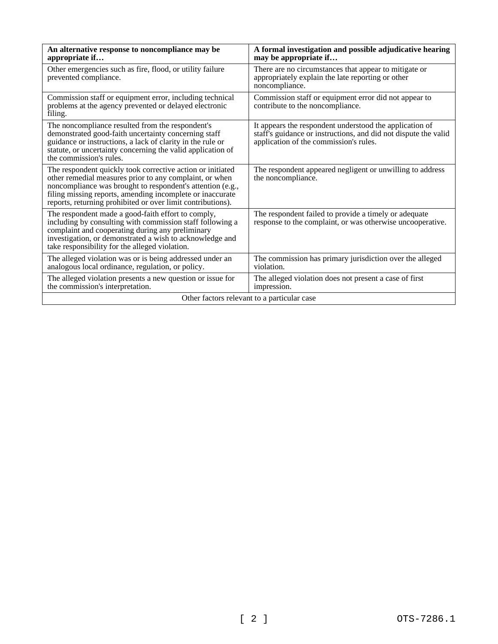| An alternative response to noncompliance may be<br>appropriate if                                                                                                                                                                                                                                               | A formal investigation and possible adjudicative hearing<br>may be appropriate if                                                                                    |  |  |
|-----------------------------------------------------------------------------------------------------------------------------------------------------------------------------------------------------------------------------------------------------------------------------------------------------------------|----------------------------------------------------------------------------------------------------------------------------------------------------------------------|--|--|
| Other emergencies such as fire, flood, or utility failure<br>prevented compliance.                                                                                                                                                                                                                              | There are no circumstances that appear to mitigate or<br>appropriately explain the late reporting or other<br>noncompliance.                                         |  |  |
| Commission staff or equipment error, including technical<br>problems at the agency prevented or delayed electronic<br>filing.                                                                                                                                                                                   | Commission staff or equipment error did not appear to<br>contribute to the noncompliance.                                                                            |  |  |
| The noncompliance resulted from the respondent's<br>demonstrated good-faith uncertainty concerning staff<br>guidance or instructions, a lack of clarity in the rule or<br>statute, or uncertainty concerning the valid application of<br>the commission's rules.                                                | It appears the respondent understood the application of<br>staff's guidance or instructions, and did not dispute the valid<br>application of the commission's rules. |  |  |
| The respondent quickly took corrective action or initiated<br>other remedial measures prior to any complaint, or when<br>noncompliance was brought to respondent's attention (e.g.,<br>filing missing reports, amending incomplete or inaccurate<br>reports, returning prohibited or over limit contributions). | The respondent appeared negligent or unwilling to address<br>the noncompliance.                                                                                      |  |  |
| The respondent made a good-faith effort to comply,<br>including by consulting with commission staff following a<br>complaint and cooperating during any preliminary<br>investigation, or demonstrated a wish to acknowledge and<br>take responsibility for the alleged violation.                               | The respondent failed to provide a timely or adequate<br>response to the complaint, or was otherwise uncooperative.                                                  |  |  |
| The alleged violation was or is being addressed under an<br>analogous local ordinance, regulation, or policy.                                                                                                                                                                                                   | The commission has primary jurisdiction over the alleged<br>violation.                                                                                               |  |  |
| The alleged violation presents a new question or issue for<br>the commission's interpretation.                                                                                                                                                                                                                  | The alleged violation does not present a case of first<br>impression.                                                                                                |  |  |
| Other factors relevant to a particular case                                                                                                                                                                                                                                                                     |                                                                                                                                                                      |  |  |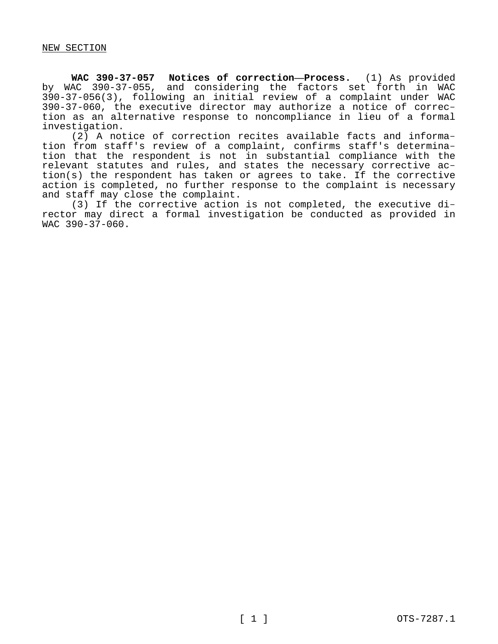**WAC 390-37-057 Notices of correction—Process.** (1) As provided by WAC 390-37-055, and considering the factors set forth in WAC 390-37-056(3), following an initial review of a complaint under WAC 390-37-060, the executive director may authorize a notice of correction as an alternative response to noncompliance in lieu of a formal investigation.

(2) A notice of correction recites available facts and information from staff's review of a complaint, confirms staff's determination that the respondent is not in substantial compliance with the relevant statutes and rules, and states the necessary corrective action(s) the respondent has taken or agrees to take. If the corrective action is completed, no further response to the complaint is necessary and staff may close the complaint.

(3) If the corrective action is not completed, the executive director may direct a formal investigation be conducted as provided in WAC 390-37-060.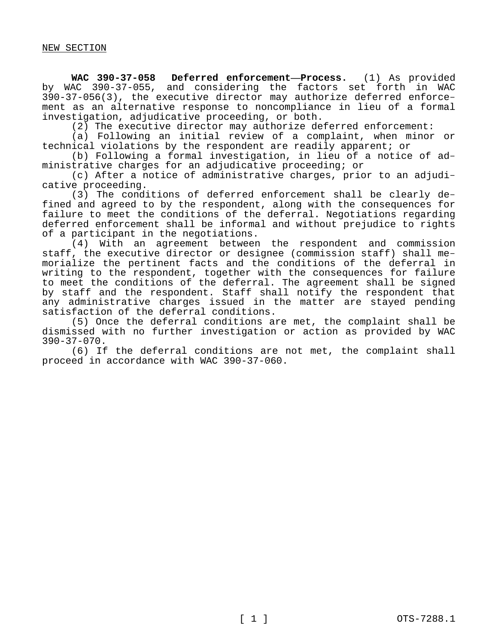**WAC 390-37-058 Deferred enforcement—Process.** (1) As provided by WAC 390-37-055, and considering the factors set forth in WAC 390-37-056(3), the executive director may authorize deferred enforcement as an alternative response to noncompliance in lieu of a formal investigation, adjudicative proceeding, or both.

(2) The executive director may authorize deferred enforcement:

(a) Following an initial review of a complaint, when minor or technical violations by the respondent are readily apparent; or

(b) Following a formal investigation, in lieu of a notice of administrative charges for an adjudicative proceeding; or

(c) After a notice of administrative charges, prior to an adjudicative proceeding.

(3) The conditions of deferred enforcement shall be clearly defined and agreed to by the respondent, along with the consequences for failure to meet the conditions of the deferral. Negotiations regarding deferred enforcement shall be informal and without prejudice to rights of a participant in the negotiations.

(4) With an agreement between the respondent and commission staff, the executive director or designee (commission staff) shall memorialize the pertinent facts and the conditions of the deferral in writing to the respondent, together with the consequences for failure to meet the conditions of the deferral. The agreement shall be signed by staff and the respondent. Staff shall notify the respondent that any administrative charges issued in the matter are stayed pending satisfaction of the deferral conditions.

(5) Once the deferral conditions are met, the complaint shall be dismissed with no further investigation or action as provided by WAC 390-37-070.

(6) If the deferral conditions are not met, the complaint shall proceed in accordance with WAC 390-37-060.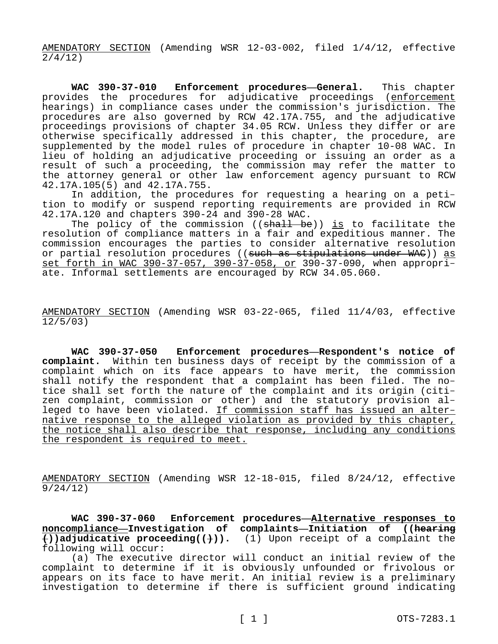AMENDATORY SECTION (Amending WSR 12-03-002, filed 1/4/12, effective 2/4/12)

**WAC 390-37-010 Enforcement procedures—General.** This chapter provides the procedures for adjudicative proceedings (<u>enforcement</u> hearings) in compliance cases under the commission's jurisdiction. The procedures are also governed by RCW 42.17A.755, and the adjudicative proceedings provisions of chapter 34.05 RCW. Unless they differ or are otherwise specifically addressed in this chapter, the procedure, are supplemented by the model rules of procedure in chapter 10-08 WAC. In lieu of holding an adjudicative proceeding or issuing an order as a result of such a proceeding, the commission may refer the matter to the attorney general or other law enforcement agency pursuant to RCW 42.17A.105(5) and 42.17A.755.

In addition, the procedures for requesting a hearing on a petition to modify or suspend reporting requirements are provided in RCW 42.17A.120 and chapters 390-24 and 390-28 WAC.

The policy of the commission  $((shall-be))$  is to facilitate the resolution of compliance matters in a fair and expeditious manner. The commission encourages the parties to consider alternative resolution or partial resolution procedures ((such as stipulations under WAC)) as set forth in WAC 390-37-057, 390-37-058, or 390-37-090, when appropriate. Informal settlements are encouraged by RCW 34.05.060.

AMENDATORY SECTION (Amending WSR 03-22-065, filed 11/4/03, effective 12/5/03)

**WAC 390-37-050 Enforcement procedures—Respondent's notice of complaint.** Within ten business days of receipt by the commission of a complaint which on its face appears to have merit, the commission shall notify the respondent that a complaint has been filed. The notice shall set forth the nature of the complaint and its origin (citizen complaint, commission or other) and the statutory provision alleged to have been violated. If commission staff has issued an alternative response to the alleged violation as provided by this chapter, the notice shall also describe that response, including any conditions the respondent is required to meet.

AMENDATORY SECTION (Amending WSR 12-18-015, filed 8/24/12, effective 9/24/12)

**WAC 390-37-060 Enforcement procedures—Alternative responses to noncompliance—Investigation of complaints—Initiation of ((hearing**   $(+)$ )adjudicative proceeding( $(+)$ ). (1) Upon receipt of a complaint the following will occur:

(a) The executive director will conduct an initial review of the complaint to determine if it is obviously unfounded or frivolous or appears on its face to have merit. An initial review is a preliminary investigation to determine if there is sufficient ground indicating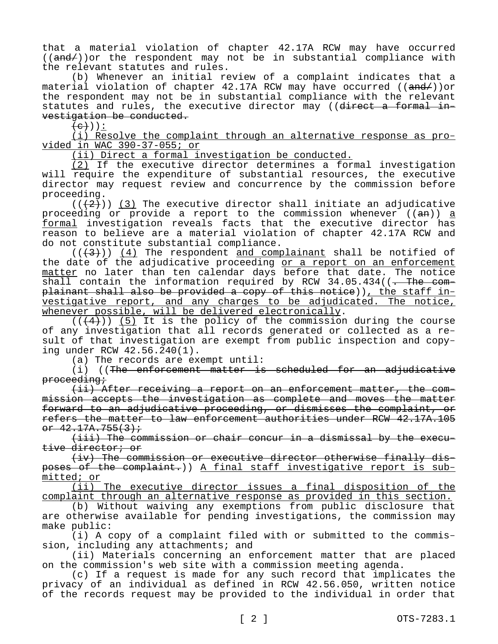that a material violation of chapter 42.17A RCW may have occurred  $((and+))$ or the respondent may not be in substantial compliance with the relevant statutes and rules.

(b) Whenever an initial review of a complaint indicates that a material violation of chapter 42.17A RCW may have occurred  $((and/))$ or the respondent may not be in substantial compliance with the relevant statutes and rules, the executive director may ((direct a formal investigation be conducted.

 $\left(\overline{e}\right)$ ):

(i) Resolve the complaint through an alternative response as provided in WAC 390-37-055; or

(ii) Direct a formal investigation be conducted.

(2) If the executive director determines a formal investigation will require the expenditure of substantial resources, the executive director may request review and concurrence by the commission before proceeding.

 $((+2))$  (3) The executive director shall initiate an adjudicative proceeding or provide a report to the commission whenever ((<del>an</del>)) <u>a</u> formal investigation reveals facts that the executive director has reason to believe are a material violation of chapter 42.17A RCW and do not constitute substantial compliance.

 $((+3))$   $(4)$  The respondent and complainant shall be notified of the date of the adjudicative proceeding or a report on an enforcement matter no later than ten calendar days before that date. The notice shall contain the information required by RCW  $34.05.434$  ( $\left(-\text{The common} - \text{The second} - \text{The second} - \text{The third} - \text{The third} - \text{The third} - \text{The third} - \text{The third} - \text{The third} - \text{The third} - \text{The third} - \text{The third} - \text{The third} - \text{The third} - \text{The third} - \text{The third} - \text{The third} - \text{The third} - \text{The third} - \text{The third} - \text{The third} - \text{The third} - \text{The$ plainant shall also be provided a copy of this notice)), the staff investigative report, and any charges to be adjudicated. The notice, whenever possible, will be delivered electronically.

 $((+4))$  (5) It is the policy of the commission during the course of any investigation that all records generated or collected as a result of that investigation are exempt from public inspection and copying under RCW 42.56.240(1).

(a) The records are exempt until:

(i) ((The enforcement matter is scheduled for an adjudicative proceeding;

(ii) After receiving a report on an enforcement matter, the commission accepts the investigation as complete and moves the matter forward to an adjudicative proceeding, or dismisses the complaint, or refers the matter to law enforcement authorities under RCW 42.17A.105  $or$  42.17A.755(3);

(iii) The commission or chair concur in a dismissal by the executive director; or

(iv) The commission or executive director otherwise finally disposes of the complaint.)) A final staff investigative report is submitted; or

(ii) The executive director issues a final disposition of the complaint through an alternative response as provided in this section.

(b) Without waiving any exemptions from public disclosure that are otherwise available for pending investigations, the commission may make public:

(i) A copy of a complaint filed with or submitted to the commission, including any attachments; and

(ii) Materials concerning an enforcement matter that are placed on the commission's web site with a commission meeting agenda.

(c) If a request is made for any such record that implicates the privacy of an individual as defined in RCW 42.56.050, written notice of the records request may be provided to the individual in order that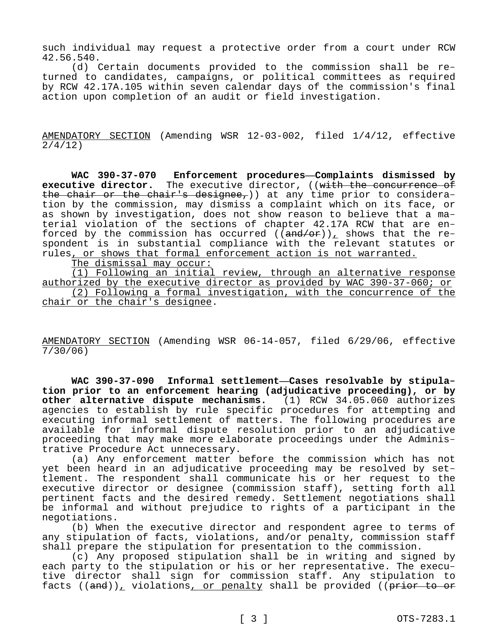such individual may request a protective order from a court under RCW 42.56.540.

(d) Certain documents provided to the commission shall be returned to candidates, campaigns, or political committees as required by RCW 42.17A.105 within seven calendar days of the commission's final action upon completion of an audit or field investigation.

AMENDATORY SECTION (Amending WSR 12-03-002, filed 1/4/12, effective 2/4/12)

**WAC 390-37-070 Enforcement procedures—Complaints dismissed by executive director.** The executive director, ((with the concurrence of the chair or the chair's designee,)) at any time prior to consideration by the commission, may dismiss a complaint which on its face, or as shown by investigation, does not show reason to believe that a material violation of the sections of chapter 42.17A RCW that are enforced by the commission has occurred  $((and/or))_{\perp}$  shows that the respondent is in substantial compliance with the relevant statutes or rules, or shows that formal enforcement action is not warranted.

The dismissal may occur:

(1) Following an initial review, through an alternative response authorized by the executive director as provided by WAC 390-37-060; or (2) Following a formal investigation, with the concurrence of the chair or the chair's designee.

AMENDATORY SECTION (Amending WSR 06-14-057, filed 6/29/06, effective 7/30/06)

**WAC 390-37-090 Informal settlement—Cases resolvable by stipulation prior to an enforcement hearing (adjudicative proceeding), or by other alternative dispute mechanisms.** (1) RCW 34.05.060 authorizes agencies to establish by rule specific procedures for attempting and executing informal settlement of matters. The following procedures are available for informal dispute resolution prior to an adjudicative proceeding that may make more elaborate proceedings under the Administrative Procedure Act unnecessary.

(a) Any enforcement matter before the commission which has not yet been heard in an adjudicative proceeding may be resolved by settlement. The respondent shall communicate his or her request to the executive director or designee (commission staff), setting forth all pertinent facts and the desired remedy. Settlement negotiations shall be informal and without prejudice to rights of a participant in the negotiations.

(b) When the executive director and respondent agree to terms of any stipulation of facts, violations, and/or penalty, commission staff shall prepare the stipulation for presentation to the commission.

(c) Any proposed stipulation shall be in writing and signed by each party to the stipulation or his or her representative. The executive director shall sign for commission staff. Any stipulation to facts  $((and))_L$  violations, or penalty shall be provided  $((pre)$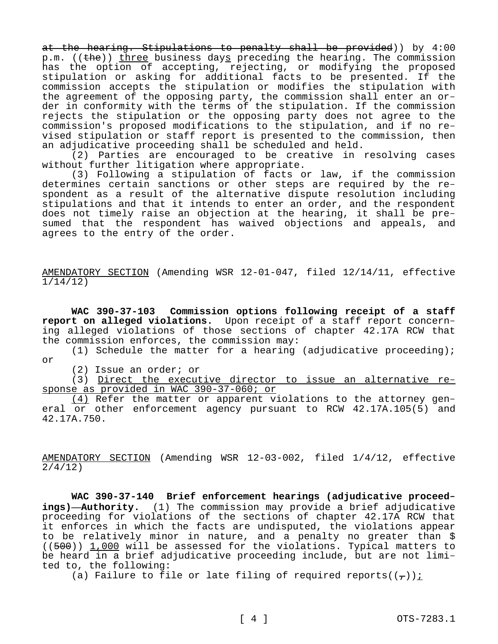at the hearing. Stipulations to penalty shall be provided)) by 4:00 p.m. ((the)) three business days preceding the hearing. The commission has the option of accepting, rejecting, or modifying the proposed stipulation or asking for additional facts to be presented. If the commission accepts the stipulation or modifies the stipulation with the agreement of the opposing party, the commission shall enter an order in conformity with the terms of the stipulation. If the commission rejects the stipulation or the opposing party does not agree to the commission's proposed modifications to the stipulation, and if no revised stipulation or staff report is presented to the commission, then an adjudicative proceeding shall be scheduled and held.

(2) Parties are encouraged to be creative in resolving cases without further litigation where appropriate.

(3) Following a stipulation of facts or law, if the commission determines certain sanctions or other steps are required by the respondent as a result of the alternative dispute resolution including stipulations and that it intends to enter an order, and the respondent does not timely raise an objection at the hearing, it shall be presumed that the respondent has waived objections and appeals, and agrees to the entry of the order.

AMENDATORY SECTION (Amending WSR 12-01-047, filed 12/14/11, effective 1/14/12)

**WAC 390-37-103 Commission options following receipt of a staff report on alleged violations.** Upon receipt of a staff report concerning alleged violations of those sections of chapter 42.17A RCW that the commission enforces, the commission may:

(1) Schedule the matter for a hearing (adjudicative proceeding); or

(2) Issue an order; or

(3) Direct the executive director to issue an alternative response as provided in WAC 390-37-060; or

(4) Refer the matter or apparent violations to the attorney general or other enforcement agency pursuant to RCW 42.17A.105(5) and 42.17A.750.

AMENDATORY SECTION (Amending WSR 12-03-002, filed 1/4/12, effective 2/4/12)

**WAC 390-37-140 Brief enforcement hearings (adjudicative proceedings)—Authority.** (1) The commission may provide a brief adjudicative proceeding for violations of the sections of chapter 42.17A RCW that it enforces in which the facts are undisputed, the violations appear to be relatively minor in nature, and a penalty no greater than \$  $((500)$ ) 1,000 will be assessed for the violations. Typical matters to be heard in a brief adjudicative proceeding include, but are not limited to, the following:

(a) Failure to file or late filing of required reports( $(\tau)$ ):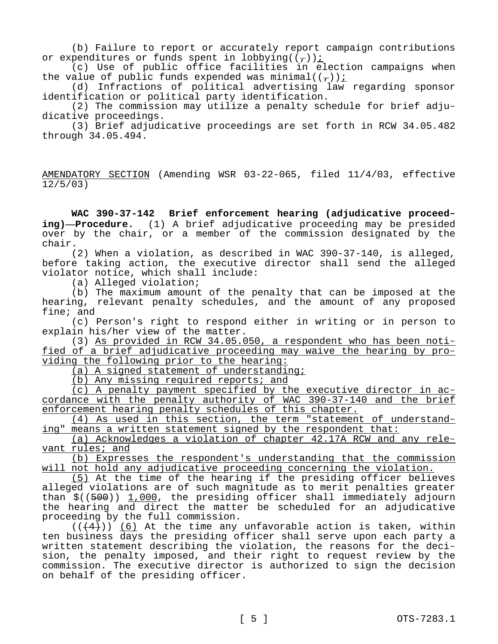(b) Failure to report or accurately report campaign contributions or expenditures or funds spent in lobbying( $(\frac{\tau}{l})$ );

(c) Use of public office facilities in election campaigns when the value of public funds expended was minimal( $(\frac{\tau}{l})$ );

(d) Infractions of political advertising law regarding sponsor identification or political party identification.

(2) The commission may utilize a penalty schedule for brief adjudicative proceedings.

(3) Brief adjudicative proceedings are set forth in RCW 34.05.482 through 34.05.494.

AMENDATORY SECTION (Amending WSR 03-22-065, filed 11/4/03, effective 12/5/03)

**WAC 390-37-142 Brief enforcement hearing (adjudicative proceeding)—Procedure.** (1) A brief adjudicative proceeding may be presided over by the chair, or a member of the commission designated by the chair.

(2) When a violation, as described in WAC 390-37-140, is alleged, before taking action, the executive director shall send the alleged violator notice, which shall include:

(a) Alleged violation;

(b) The maximum amount of the penalty that can be imposed at the hearing, relevant penalty schedules, and the amount of any proposed fine; and

(c) Person's right to respond either in writing or in person to explain his/her view of the matter.

(3) As provided in RCW 34.05.050, a respondent who has been notified of a brief adjudicative proceeding may waive the hearing by providing the following prior to the hearing:

(a) A signed statement of understanding;

(b) Any missing required reports; and

(c) A penalty payment specified by the executive director in accordance with the penalty authority of WAC 390-37-140 and the brief enforcement hearing penalty schedules of this chapter.

(4) As used in this section, the term "statement of understanding" means a written statement signed by the respondent that:

(a) Acknowledges a violation of chapter 42.17A RCW and any relevant rules; and

(b) Expresses the respondent's understanding that the commission will not hold any adjudicative proceeding concerning the violation.

(5) At the time of the hearing if the presiding officer believes alleged violations are of such magnitude as to merit penalties greater than  $$((500))$  1,000, the presiding officer shall immediately adjourn the hearing and direct the matter be scheduled for an adjudicative proceeding by the full commission.

 $((+4))$  (6) At the time any unfavorable action is taken, within ten business days the presiding officer shall serve upon each party a written statement describing the violation, the reasons for the decision, the penalty imposed, and their right to request review by the commission. The executive director is authorized to sign the decision on behalf of the presiding officer.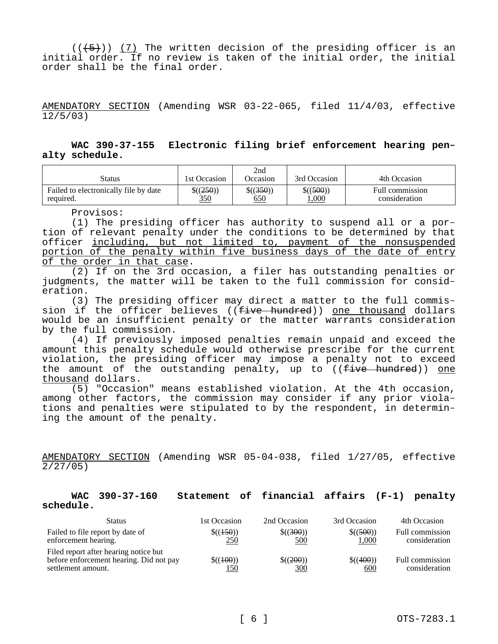$((+5))$  (7) The written decision of the presiding officer is an initial order. If no review is taken of the initial order, the initial order shall be the final order.

AMENDATORY SECTION (Amending WSR 03-22-065, filed 11/4/03, effective 12/5/03)

### **WAC 390-37-155 Electronic filing brief enforcement hearing penalty schedule.**

| Status                                | 1st Occasion | 2nd<br>Occasion | 3rd Occasion | 4th Occasion    |
|---------------------------------------|--------------|-----------------|--------------|-----------------|
| Failed to electronically file by date | \$((250))    | $\$((350))$     | \$((500))    | Full commission |
| required.                             | 350          | 650             | .000         | consideration   |

Provisos:

(1) The presiding officer has authority to suspend all or a portion of relevant penalty under the conditions to be determined by that officer including, but not limited to, payment of the nonsuspended portion of the penalty within five business days of the date of entry of the order in that case.

(2) If on the 3rd occasion, a filer has outstanding penalties or judgments, the matter will be taken to the full commission for consideration.

(3) The presiding officer may direct a matter to the full commission if the officer believes ((<del>five hundred</del>)) one thousand dollars would be an insufficient penalty or the matter warrants consideration by the full commission.

(4) If previously imposed penalties remain unpaid and exceed the amount this penalty schedule would otherwise prescribe for the current violation, the presiding officer may impose a penalty not to exceed the amount of the outstanding penalty, up to  $(($   $f$ ive hundred)) one thousand dollars.

(5) "Occasion" means established violation. At the 4th occasion, among other factors, the commission may consider if any prior violations and penalties were stipulated to by the respondent, in determining the amount of the penalty.

AMENDATORY SECTION (Amending WSR 05-04-038, filed 1/27/05, effective 2/27/05)

### **WAC 390-37-160 Statement of financial affairs (F-1) penalty schedule.**

| <b>Status</b>                                                                                          | 1st Occasion                | 2nd Occasion     | 3rd Occasion       | 4th Occasion                     |
|--------------------------------------------------------------------------------------------------------|-----------------------------|------------------|--------------------|----------------------------------|
| Failed to file report by date of<br>enforcement hearing.                                               | \$(450)<br>250              | \$(300)<br>500   | \$((500))<br>1,000 | Full commission<br>consideration |
| Filed report after hearing notice but<br>before enforcement hearing. Did not pay<br>settlement amount. | $\$(4\theta\theta))$<br>150 | $\$(200)$<br>300 | $\$(400)$<br>600   | Full commission<br>consideration |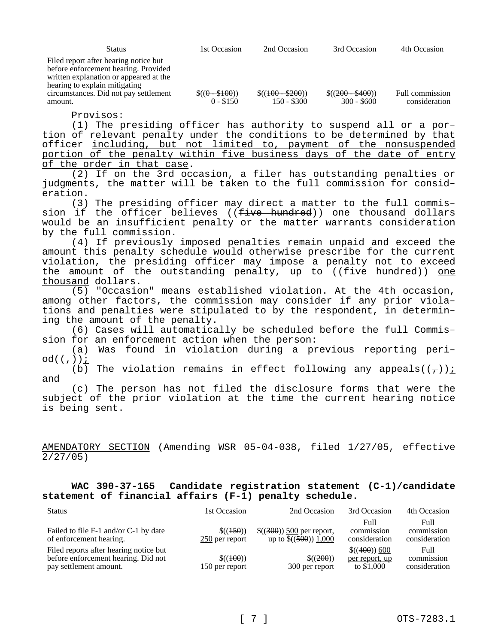| <b>Status</b>                                                                                                                                            | 1st Occasion                 | 2nd Occasion                     | 3rd Occasion                      | 4th Occasion                     |
|----------------------------------------------------------------------------------------------------------------------------------------------------------|------------------------------|----------------------------------|-----------------------------------|----------------------------------|
| Filed report after hearing notice but<br>before enforcement hearing. Provided<br>written explanation or appeared at the<br>hearing to explain mitigating |                              |                                  |                                   |                                  |
| circumstances. Did not pay settlement<br>amount.                                                                                                         | $$(0 - $100))$<br>$0 - $150$ | $$(100 - $200))$<br>$150 - $300$ | $$((200 - $400))$<br>$300 - $600$ | Full commission<br>consideration |

(1) The presiding officer has authority to suspend all or a portion of relevant penalty under the conditions to be determined by that officer including, but not limited to, payment of the nonsuspended portion of the penalty within five business days of the date of entry of the order in that case.

(2) If on the 3rd occasion, a filer has outstanding penalties or judgments, the matter will be taken to the full commission for consideration.

(3) The presiding officer may direct a matter to the full commission if the officer believes ((<del>five hundred</del>)) one thousand dollars would be an insufficient penalty or the matter warrants consideration by the full commission.

(4) If previously imposed penalties remain unpaid and exceed the amount this penalty schedule would otherwise prescribe for the current violation, the presiding officer may impose a penalty not to exceed the amount of the outstanding penalty, up to  $(($   $f$ ive hundred)) one thousand dollars.

(5) "Occasion" means established violation. At the 4th occasion, among other factors, the commission may consider if any prior violations and penalties were stipulated to by the respondent, in determining the amount of the penalty.

(6) Cases will automatically be scheduled before the full Commission for an enforcement action when the person:

(a) Was found in violation during a previous reporting peri $od((\tau))$  *i* 

(b) The violation remains in effect following any appeals( $(\tau)$ ); and

(c) The person has not filed the disclosure forms that were the subject of the prior violation at the time the current hearing notice is being sent.

AMENDATORY SECTION (Amending WSR 05-04-038, filed 1/27/05, effective 2/27/05)

#### **WAC 390-37-165 Candidate registration statement (C-1)/candidate statement of financial affairs (F-1) penalty schedule.**

| <b>Status</b>                                                                                           | 1st Occasion                           | 2nd Occasion                                        | 3rd Occasion                                | 4th Occasion                        |
|---------------------------------------------------------------------------------------------------------|----------------------------------------|-----------------------------------------------------|---------------------------------------------|-------------------------------------|
| Failed to file F-1 and/or C-1 by date<br>of enforcement hearing.                                        | $\$(450)$<br>250 per report            | $$(300) 500$ per report,<br>up to $\$((500))$ 1,000 | Full<br>commission<br>consideration         | Full<br>commission<br>consideration |
| Filed reports after hearing notice but<br>before enforcement hearing. Did not<br>pay settlement amount. | $\$(\theta\theta\))$<br>150 per report | \$(200)<br>$300$ per report                         | \$(400) 600<br>per report, up<br>to \$1,000 | Full<br>commission<br>consideration |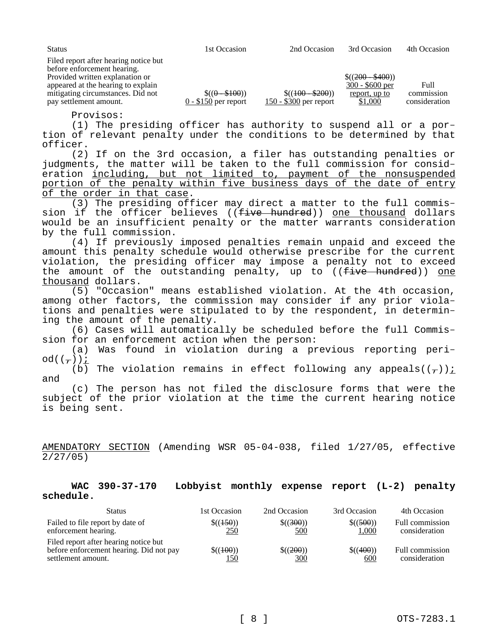| Status                                                               | 1st Occasion | 2nd Occasion | 3rd Occasion      | 4th Occasion |
|----------------------------------------------------------------------|--------------|--------------|-------------------|--------------|
| Filed report after hearing notice but<br>before enforcement hearing. |              |              |                   |              |
| Provided written explanation or                                      |              |              | $$((200 - $400))$ |              |

|                       |                         | $$((200 - $400))$ |               |
|-----------------------|-------------------------|-------------------|---------------|
|                       |                         | $300 - $600$ per  | Full          |
| $$(0 - $100))$        | $$(100 - $200))$        | report, up to     | commission    |
| $0 - $150$ per report | $150 - $300$ per report | \$1,000           | consideration |
|                       |                         |                   |               |

(1) The presiding officer has authority to suspend all or a portion of relevant penalty under the conditions to be determined by that officer.

(2) If on the 3rd occasion, a filer has outstanding penalties or judgments, the matter will be taken to the full commission for consideration including, but not limited to, payment of the nonsuspended portion of the penalty within five business days of the date of entry of the order in that case.

(3) The presiding officer may direct a matter to the full commission if the officer believes ((<del>five hundred</del>)) one thousand dollars would be an insufficient penalty or the matter warrants consideration by the full commission.

(4) If previously imposed penalties remain unpaid and exceed the amount this penalty schedule would otherwise prescribe for the current violation, the presiding officer may impose a penalty not to exceed the amount of the outstanding penalty, up to  $((\text{five hundred}))$  one thousand dollars.

(5) "Occasion" means established violation. At the 4th occasion, among other factors, the commission may consider if any prior violations and penalties were stipulated to by the respondent, in determining the amount of the penalty.

(6) Cases will automatically be scheduled before the full Commission for an enforcement action when the person:

(a) Was found in violation during a previous reporting peri $od((\tau))$  *i* 

(b) The violation remains in effect following any appeals( $(\tau)$ ); and

(c) The person has not filed the disclosure forms that were the subject of the prior violation at the time the current hearing notice is being sent.

AMENDATORY SECTION (Amending WSR 05-04-038, filed 1/27/05, effective 2/27/05)

**WAC 390-37-170 Lobbyist monthly expense report (L-2) penalty schedule.**

| <b>Status</b>                                                                                          | 1st Occasion                | 2nd Occasion          | 3rd Occasion       | 4th Occasion                     |
|--------------------------------------------------------------------------------------------------------|-----------------------------|-----------------------|--------------------|----------------------------------|
| Failed to file report by date of<br>enforcement hearing.                                               | \$(450)<br><u>250</u>       | \$(300)<br>500        | \$((500))<br>1,000 | Full commission<br>consideration |
| Filed report after hearing notice but<br>before enforcement hearing. Did not pay<br>settlement amount. | $\$(4\theta\theta))$<br>150 | \$(200)<br><u>300</u> | $\$(400)$<br>600   | Full commission<br>consideration |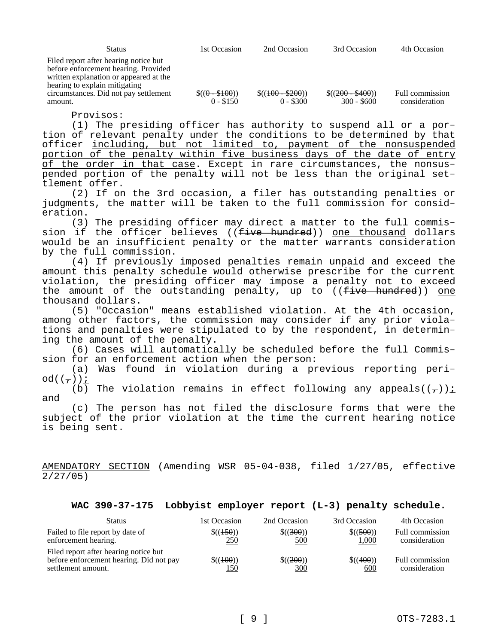| <b>Status</b>                                                                                                                                                                                     | 1st Occasion   | 2nd Occasion     | 3rd Occasion      | 4th Occasion    |
|---------------------------------------------------------------------------------------------------------------------------------------------------------------------------------------------------|----------------|------------------|-------------------|-----------------|
| Filed report after hearing notice but<br>before enforcement hearing. Provided<br>written explanation or appeared at the<br>hearing to explain mitigating<br>circumstances. Did not pay settlement | $$(0 - $100))$ | $$(100 - $200))$ | $$((200 - $400))$ | Full commission |
| amount.                                                                                                                                                                                           | $0 - $150$     | $0 - $300$       | $300 - $600$      | consideration   |

(1) The presiding officer has authority to suspend all or a portion of relevant penalty under the conditions to be determined by that officer including, but not limited to, payment of the nonsuspended portion of the penalty within five business days of the date of entry of the order in that case. Except in rare circumstances, the nonsuspended portion of the penalty will not be less than the original settlement offer.

(2) If on the 3rd occasion, a filer has outstanding penalties or judgments, the matter will be taken to the full commission for consideration.

(3) The presiding officer may direct a matter to the full commission if the officer believes ((five hundred)) one thousand dollars would be an insufficient penalty or the matter warrants consideration by the full commission.

(4) If previously imposed penalties remain unpaid and exceed the amount this penalty schedule would otherwise prescribe for the current violation, the presiding officer may impose a penalty not to exceed the amount of the outstanding penalty, up to ((five hundred)) one thousand dollars.

(5) "Occasion" means established violation. At the 4th occasion, among other factors, the commission may consider if any prior violations and penalties were stipulated to by the respondent, in determining the amount of the penalty.

(6) Cases will automatically be scheduled before the full Commission for an enforcement action when the person:

(a) Was found in violation during a previous reporting peri $od((\tau))$  *i* 

(b) The violation remains in effect following any appeals( $(\tau)$ ); and

(c) The person has not filed the disclosure forms that were the subject of the prior violation at the time the current hearing notice is being sent.

AMENDATORY SECTION (Amending WSR 05-04-038, filed 1/27/05, effective 2/27/05)

#### **WAC 390-37-175 Lobbyist employer report (L-3) penalty schedule.**

| <b>Status</b>                                                                                          | 1st Occasion                | 2nd Occasion     | 3rd Occasion       | 4th Occasion                     |
|--------------------------------------------------------------------------------------------------------|-----------------------------|------------------|--------------------|----------------------------------|
| Failed to file report by date of<br>enforcement hearing.                                               | $\$((450))$<br>250          | \$(300)<br>500   | \$((500))<br>1,000 | Full commission<br>consideration |
| Filed report after hearing notice but<br>before enforcement hearing. Did not pay<br>settlement amount. | $\$(4\theta\theta))$<br>150 | $\$(200)$<br>300 | $\$(400)$<br>600   | Full commission<br>consideration |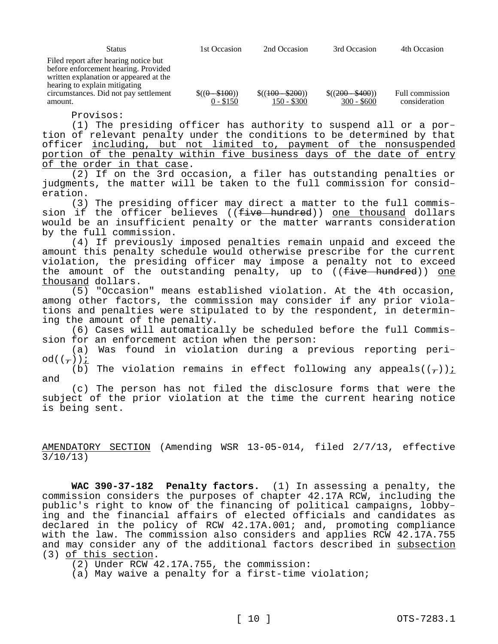| <b>Status</b>                                                                                                           | 1st Occasion   | 2nd Occasion     | 3rd Occasion     | 4th Occasion    |
|-------------------------------------------------------------------------------------------------------------------------|----------------|------------------|------------------|-----------------|
| Filed report after hearing notice but<br>before enforcement hearing. Provided<br>written explanation or appeared at the |                |                  |                  |                 |
| hearing to explain mitigating<br>circumstances. Did not pay settlement                                                  | $$(0 - $100))$ | $$(100 - $200))$ | $$(200 - $400))$ | Full commission |
| amount.                                                                                                                 | $0 - $150$     | $150 - $300$     | $300 - $600$     | consideration   |

(1) The presiding officer has authority to suspend all or a portion of relevant penalty under the conditions to be determined by that officer including, but not limited to, payment of the nonsuspended portion of the penalty within five business days of the date of entry of the order in that case.

(2) If on the 3rd occasion, a filer has outstanding penalties or judgments, the matter will be taken to the full commission for consideration.

(3) The presiding officer may direct a matter to the full commission if the officer believes ((<del>five hundred</del>)) one thousand dollars would be an insufficient penalty or the matter warrants consideration by the full commission.

(4) If previously imposed penalties remain unpaid and exceed the amount this penalty schedule would otherwise prescribe for the current violation, the presiding officer may impose a penalty not to exceed the amount of the outstanding penalty, up to  $(($   $f$ ive hundred)) one thousand dollars.

(5) "Occasion" means established violation. At the 4th occasion, among other factors, the commission may consider if any prior violations and penalties were stipulated to by the respondent, in determining the amount of the penalty.

(6) Cases will automatically be scheduled before the full Commission for an enforcement action when the person:

(a) Was found in violation during a previous reporting peri $od((\tau))$  *i* 

(b) The violation remains in effect following any appeals( $(\tau)$ ); and

(c) The person has not filed the disclosure forms that were the subject of the prior violation at the time the current hearing notice is being sent.

AMENDATORY SECTION (Amending WSR 13-05-014, filed 2/7/13, effective 3/10/13)

**WAC 390-37-182 Penalty factors.** (1) In assessing a penalty, the commission considers the purposes of chapter 42.17A RCW, including the public's right to know of the financing of political campaigns, lobbying and the financial affairs of elected officials and candidates as declared in the policy of RCW 42.17A.001; and, promoting compliance with the law. The commission also considers and applies RCW 42.17A.755 and may consider any of the additional factors described in subsection (3) of this section.

(2) Under RCW 42.17A.755, the commission:

(a) May waive a penalty for a first-time violation;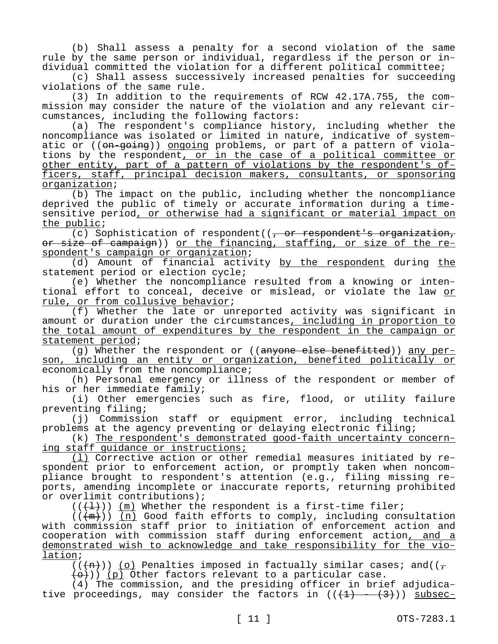(b) Shall assess a penalty for a second violation of the same rule by the same person or individual, regardless if the person or individual committed the violation for a different political committee;

(c) Shall assess successively increased penalties for succeeding violations of the same rule.

(3) In addition to the requirements of RCW 42.17A.755, the commission may consider the nature of the violation and any relevant circumstances, including the following factors:

(a) The respondent's compliance history, including whether the noncompliance was isolated or limited in nature, indicative of systematic or ((on-going)) ongoing problems, or part of a pattern of violations by the respondent, or in the case of a political committee or other entity, part of a pattern of violations by the respondent's officers, staff, principal decision makers, consultants, or sponsoring organization;

(b) The impact on the public, including whether the noncompliance deprived the public of timely or accurate information during a timesensitive period, or otherwise had a significant or material impact on the public;

(c) Sophistication of respondent( $\frac{1}{2}$  or respondent's organization, or size of campaign)) or the financing, staffing, or size of the respondent's campaign or organization;

(d) Amount of financial activity by the respondent during the statement period or election cycle;

(e) Whether the noncompliance resulted from a knowing or intentional effort to conceal, deceive or mislead, or violate the law or rule, or from collusive behavior;

(f) Whether the late or unreported activity was significant in amount or duration under the circumstances, including in proportion to the total amount of expenditures by the respondent in the campaign or statement period;

(g) Whether the respondent or ((anyone else benefitted)) any person, including an entity or organization, benefited politically or economically from the noncompliance;

(h) Personal emergency or illness of the respondent or member of his or her immediate family;

(i) Other emergencies such as fire, flood, or utility failure preventing filing;

(j) Commission staff or equipment error, including technical problems at the agency preventing or delaying electronic filing;

(k) The respondent's demonstrated good-faith uncertainty concerning staff guidance or instructions;

(l) Corrective action or other remedial measures initiated by respondent prior to enforcement action, or promptly taken when noncompliance brought to respondent's attention (e.g., filing missing reports, amending incomplete or inaccurate reports, returning prohibited or overlimit contributions);

 $((+1))$  (m) Whether the respondent is a first-time filer;

 $((+m))$  (n) Good faith efforts to comply, including consultation with commission staff prior to initiation of enforcement action and cooperation with commission staff during enforcement action, and a demonstrated wish to acknowledge and take responsibility for the violation;

 $((+n))$  (o) Penalties imposed in factually similar cases; and  $({-}$ 

 $(0, 0)$ ) (p) Other factors relevant to a particular case.

(4) The commission, and the presiding officer in brief adjudicative proceedings, may consider the factors in  $((+1) - (+3))$  subsec-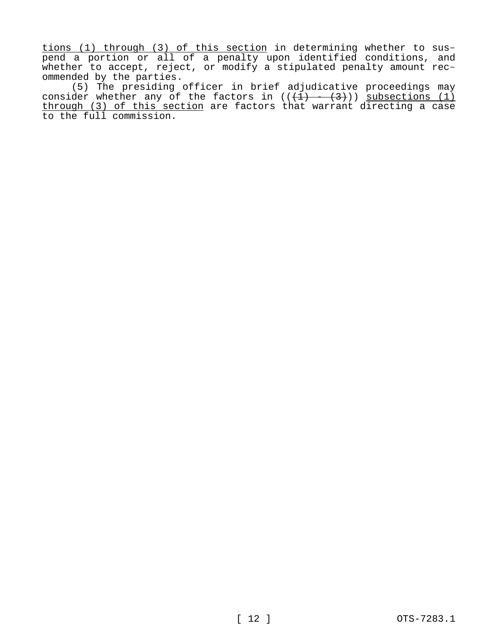tions (1) through (3) of this section in determining whether to suspend a portion or all of a penalty upon identified conditions, and whether to accept, reject, or modify a stipulated penalty amount recommended by the parties.

(5) The presiding officer in brief adjudicative proceedings may consider whether any of the factors in  $((+1) - (+3))$  subsections (1) through (3) of this section are factors that warrant directing a case to the full commission.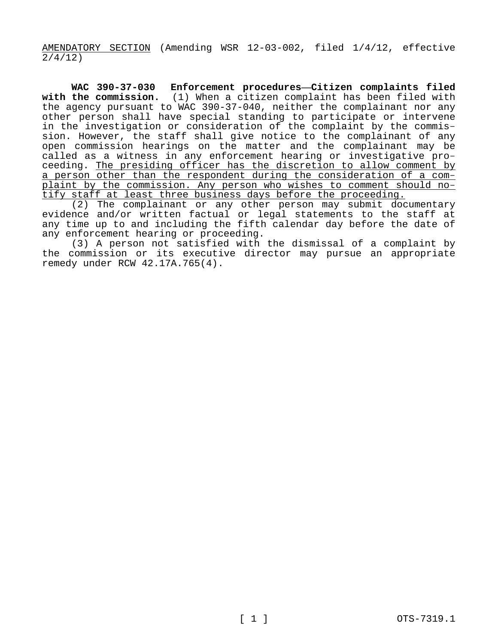AMENDATORY SECTION (Amending WSR 12-03-002, filed 1/4/12, effective  $2/4/12$ 

**WAC 390-37-030 Enforcement procedures—Citizen complaints filed with the commission.** (1) When a citizen complaint has been filed with the agency pursuant to WAC 390-37-040, neither the complainant nor any other person shall have special standing to participate or intervene in the investigation or consideration of the complaint by the commission. However, the staff shall give notice to the complainant of any open commission hearings on the matter and the complainant may be called as a witness in any enforcement hearing or investigative proceeding. The presiding officer has the discretion to allow comment by a person other than the respondent during the consideration of a complaint by the commission. Any person who wishes to comment should notify staff at least three business days before the proceeding.

(2) The complainant or any other person may submit documentary evidence and/or written factual or legal statements to the staff at any time up to and including the fifth calendar day before the date of any enforcement hearing or proceeding.

(3) A person not satisfied with the dismissal of a complaint by the commission or its executive director may pursue an appropriate remedy under RCW 42.17A.765(4).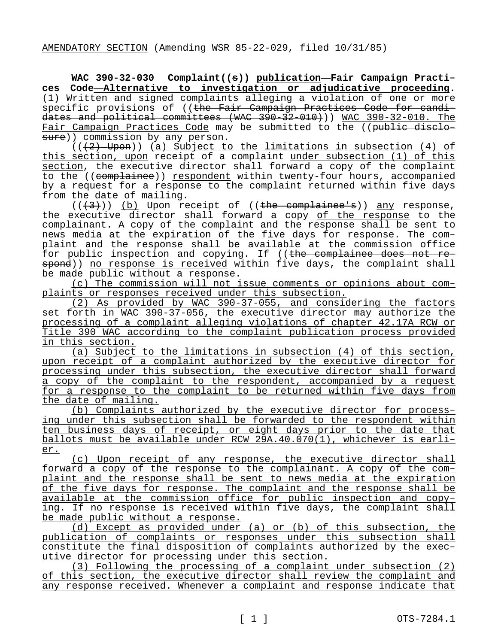**WAC 390-32-030 Complaint((s)) publication—Fair Campaign Practices Code—Alternative to investigation or adjudicative proceeding.**  (1) Written and signed complaints alleging a violation of one or more specific provisions of ((the Fair Campaign Practices Code for candidates and political committees (WAC 390-32-010))) WAC 390-32-010. The Fair Campaign Practices Code may be submitted to the ((public disclosure)) commission by any person.

 $((+2)$  Upon)) (a) Subject to the limitations in subsection (4) of this section, upon receipt of a complaint under subsection (1) of this section, the executive director shall forward a copy of the complaint to the ((complainee)) respondent within twenty-four hours, accompanied by a request for a response to the complaint returned within five days from the date of mailing.

 $((+3))$  (b) Upon receipt of ((the complainee's)) any response, the executive director shall forward a copy of the response to the complainant. A copy of the complaint and the response shall be sent to news media at the expiration of the five days for response. The complaint and the response shall be available at the commission office for public inspection and copying. If ((the complainee does not respond)) no response is received within five days, the complaint shall be made public without a response.

(c) The commission will not issue comments or opinions about complaints or responses received under this subsection.

(2) As provided by WAC 390-37-055, and considering the factors set forth in WAC 390-37-056, the executive director may authorize the processing of a complaint alleging violations of chapter 42.17A RCW or Title 390 WAC according to the complaint publication process provided in this section.

(a) Subject to the limitations in subsection (4) of this section, upon receipt of a complaint authorized by the executive director for processing under this subsection, the executive director shall forward a copy of the complaint to the respondent, accompanied by a request for a response to the complaint to be returned within five days from the date of mailing.

(b) Complaints authorized by the executive director for processing under this subsection shall be forwarded to the respondent within ten business days of receipt, or eight days prior to the date that ballots must be available under RCW 29A.40.070(1), whichever is earlier.

(c) Upon receipt of any response, the executive director shall forward a copy of the response to the complainant. A copy of the complaint and the response shall be sent to news media at the expiration of the five days for response. The complaint and the response shall be available at the commission office for public inspection and copying. If no response is received within five days, the complaint shall be made public without a response.

(d) Except as provided under (a) or (b) of this subsection, the publication of complaints or responses under this subsection shall constitute the final disposition of complaints authorized by the executive director for processing under this section.

(3) Following the processing of a complaint under subsection (2) of this section, the executive director shall review the complaint and any response received. Whenever a complaint and response indicate that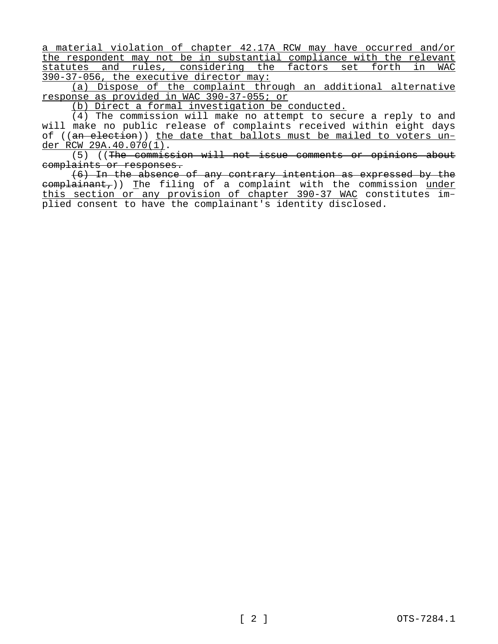a material violation of chapter 42.17A RCW may have occurred and/or the respondent may not be in substantial compliance with the relevant statutes and rules, considering the factors set forth in WAC 390-37-056, the executive director may:

(a) Dispose of the complaint through an additional alternative response as provided in WAC 390-37-055; or

(b) Direct a formal investigation be conducted.

(4) The commission will make no attempt to secure a reply to and will make no public release of complaints received within eight days of ((an election)) the date that ballots must be mailed to voters under RCW 29A.40.070(1).

(5) ((The commission will not issue comments or opinions about complaints or responses.

(6) In the absence of any contrary intention as expressed by the complainant,)) <u>T</u>he filing of a complaint with the commission <u>under</u> this section or any provision of chapter 390-37 WAC constitutes implied consent to have the complainant's identity disclosed.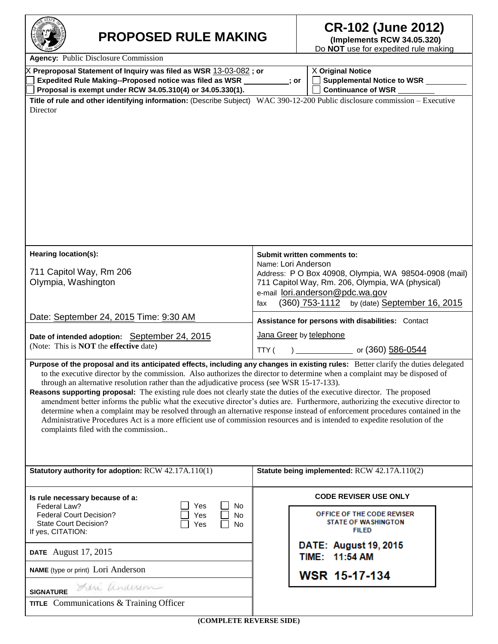|                                                                                                                                                                                                                                                                                                                                                                                                                                                                                                                                                                                                                                                                                                                                                                                                                                                                                                                                        | <b>PROPOSED RULE MAKING</b>                                                                                                                                                                |                                                                                                                                                                                                                                                             | <b>CR-102 (June 2012)</b><br>(Implements RCW 34.05.320)<br>Do NOT use for expedited rule making                             |  |
|----------------------------------------------------------------------------------------------------------------------------------------------------------------------------------------------------------------------------------------------------------------------------------------------------------------------------------------------------------------------------------------------------------------------------------------------------------------------------------------------------------------------------------------------------------------------------------------------------------------------------------------------------------------------------------------------------------------------------------------------------------------------------------------------------------------------------------------------------------------------------------------------------------------------------------------|--------------------------------------------------------------------------------------------------------------------------------------------------------------------------------------------|-------------------------------------------------------------------------------------------------------------------------------------------------------------------------------------------------------------------------------------------------------------|-----------------------------------------------------------------------------------------------------------------------------|--|
| <b>Agency:</b> Public Disclosure Commission                                                                                                                                                                                                                                                                                                                                                                                                                                                                                                                                                                                                                                                                                                                                                                                                                                                                                            |                                                                                                                                                                                            |                                                                                                                                                                                                                                                             |                                                                                                                             |  |
|                                                                                                                                                                                                                                                                                                                                                                                                                                                                                                                                                                                                                                                                                                                                                                                                                                                                                                                                        | X Preproposal Statement of Inquiry was filed as WSR 13-03-082; or<br>Expedited Rule Making--Proposed notice was filed as WSR<br>Proposal is exempt under RCW 34.05.310(4) or 34.05.330(1). | ; or                                                                                                                                                                                                                                                        | X Original Notice<br>Supplemental Notice to WSR<br>Continuance of WSR                                                       |  |
| Director                                                                                                                                                                                                                                                                                                                                                                                                                                                                                                                                                                                                                                                                                                                                                                                                                                                                                                                               |                                                                                                                                                                                            |                                                                                                                                                                                                                                                             | Title of rule and other identifying information: (Describe Subject) WAC 390-12-200 Public disclosure commission - Executive |  |
| Hearing location(s):<br>711 Capitol Way, Rm 206<br>Olympia, Washington                                                                                                                                                                                                                                                                                                                                                                                                                                                                                                                                                                                                                                                                                                                                                                                                                                                                 |                                                                                                                                                                                            | Submit written comments to:<br>Name: Lori Anderson<br>Address: P O Box 40908, Olympia, WA 98504-0908 (mail)<br>711 Capitol Way, Rm. 206, Olympia, WA (physical)<br>e-mail lori.anderson@pdc.wa.gov<br>by (date) September 16, 2015<br>(360) 753-1112<br>fax |                                                                                                                             |  |
|                                                                                                                                                                                                                                                                                                                                                                                                                                                                                                                                                                                                                                                                                                                                                                                                                                                                                                                                        | Date: September 24, 2015 Time: 9:30 AM                                                                                                                                                     |                                                                                                                                                                                                                                                             |                                                                                                                             |  |
| (Note: This is <b>NOT</b> the effective date)                                                                                                                                                                                                                                                                                                                                                                                                                                                                                                                                                                                                                                                                                                                                                                                                                                                                                          | Date of intended adoption: September 24, 2015                                                                                                                                              | Assistance for persons with disabilities: Contact<br><b>Jana Greer</b> by telephone<br>or (360) 586-0544<br>TTY (                                                                                                                                           |                                                                                                                             |  |
| Purpose of the proposal and its anticipated effects, including any changes in existing rules: Better clarify the duties delegated<br>to the executive director by the commission. Also authorizes the director to determine when a complaint may be disposed of<br>through an alternative resolution rather than the adjudicative process (see WSR 15-17-133).<br>Reasons supporting proposal: The existing rule does not clearly state the duties of the executive director. The proposed<br>amendment better informs the public what the executive director's duties are. Furthermore, authorizing the executive director to<br>determine when a complaint may be resolved through an alternative response instead of enforcement procedures contained in the<br>Administrative Procedures Act is a more efficient use of commission resources and is intended to expedite resolution of the<br>complaints filed with the commission |                                                                                                                                                                                            |                                                                                                                                                                                                                                                             |                                                                                                                             |  |
|                                                                                                                                                                                                                                                                                                                                                                                                                                                                                                                                                                                                                                                                                                                                                                                                                                                                                                                                        | Statutory authority for adoption: RCW 42.17A.110(1)                                                                                                                                        |                                                                                                                                                                                                                                                             | Statute being implemented: RCW 42.17A.110(2)                                                                                |  |
| Is rule necessary because of a:<br>Federal Law?<br><b>Federal Court Decision?</b><br><b>State Court Decision?</b><br>If yes, CITATION:                                                                                                                                                                                                                                                                                                                                                                                                                                                                                                                                                                                                                                                                                                                                                                                                 | Yes<br>No<br><b>No</b><br>Yes<br>Yes<br>No                                                                                                                                                 |                                                                                                                                                                                                                                                             | <b>CODE REVISER USE ONLY</b><br>OFFICE OF THE CODE REVISER<br><b>STATE OF WASHINGTON</b><br><b>FILED</b>                    |  |
| <b>DATE</b> August 17, 2015                                                                                                                                                                                                                                                                                                                                                                                                                                                                                                                                                                                                                                                                                                                                                                                                                                                                                                            |                                                                                                                                                                                            |                                                                                                                                                                                                                                                             | DATE: August 19, 2015<br>TIME: 11:54 AM                                                                                     |  |
| <b>NAME</b> (type or print) Lori Anderson                                                                                                                                                                                                                                                                                                                                                                                                                                                                                                                                                                                                                                                                                                                                                                                                                                                                                              |                                                                                                                                                                                            |                                                                                                                                                                                                                                                             | <b>WSR 15-17-134</b>                                                                                                        |  |
| <b>SIGNATURE</b>                                                                                                                                                                                                                                                                                                                                                                                                                                                                                                                                                                                                                                                                                                                                                                                                                                                                                                                       | Sin anderson                                                                                                                                                                               |                                                                                                                                                                                                                                                             |                                                                                                                             |  |
|                                                                                                                                                                                                                                                                                                                                                                                                                                                                                                                                                                                                                                                                                                                                                                                                                                                                                                                                        | <b>TITLE</b> Communications $&$ Training Officer                                                                                                                                           |                                                                                                                                                                                                                                                             |                                                                                                                             |  |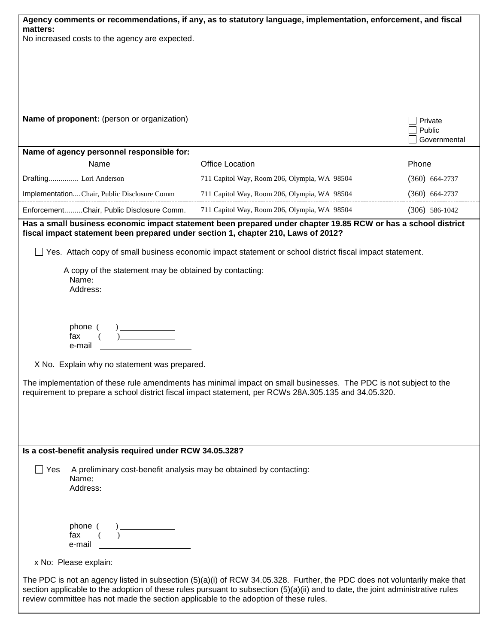| Agency comments or recommendations, if any, as to statutory language, implementation, enforcement, and fiscal                                                                                                                                                                                                                                                                                                                                                                                                                                                                                                                     |                                                                                                                                                                                                                            |                   |  |  |  |
|-----------------------------------------------------------------------------------------------------------------------------------------------------------------------------------------------------------------------------------------------------------------------------------------------------------------------------------------------------------------------------------------------------------------------------------------------------------------------------------------------------------------------------------------------------------------------------------------------------------------------------------|----------------------------------------------------------------------------------------------------------------------------------------------------------------------------------------------------------------------------|-------------------|--|--|--|
| matters:                                                                                                                                                                                                                                                                                                                                                                                                                                                                                                                                                                                                                          |                                                                                                                                                                                                                            |                   |  |  |  |
| No increased costs to the agency are expected.                                                                                                                                                                                                                                                                                                                                                                                                                                                                                                                                                                                    |                                                                                                                                                                                                                            |                   |  |  |  |
|                                                                                                                                                                                                                                                                                                                                                                                                                                                                                                                                                                                                                                   |                                                                                                                                                                                                                            |                   |  |  |  |
|                                                                                                                                                                                                                                                                                                                                                                                                                                                                                                                                                                                                                                   |                                                                                                                                                                                                                            |                   |  |  |  |
|                                                                                                                                                                                                                                                                                                                                                                                                                                                                                                                                                                                                                                   |                                                                                                                                                                                                                            |                   |  |  |  |
|                                                                                                                                                                                                                                                                                                                                                                                                                                                                                                                                                                                                                                   |                                                                                                                                                                                                                            |                   |  |  |  |
|                                                                                                                                                                                                                                                                                                                                                                                                                                                                                                                                                                                                                                   |                                                                                                                                                                                                                            |                   |  |  |  |
| Name of proponent: (person or organization)                                                                                                                                                                                                                                                                                                                                                                                                                                                                                                                                                                                       |                                                                                                                                                                                                                            | Private<br>Public |  |  |  |
|                                                                                                                                                                                                                                                                                                                                                                                                                                                                                                                                                                                                                                   |                                                                                                                                                                                                                            | Governmental      |  |  |  |
| Name of agency personnel responsible for:                                                                                                                                                                                                                                                                                                                                                                                                                                                                                                                                                                                         |                                                                                                                                                                                                                            |                   |  |  |  |
| Name                                                                                                                                                                                                                                                                                                                                                                                                                                                                                                                                                                                                                              | <b>Office Location</b>                                                                                                                                                                                                     | Phone             |  |  |  |
| Drafting Lori Anderson                                                                                                                                                                                                                                                                                                                                                                                                                                                                                                                                                                                                            | 711 Capitol Way, Room 206, Olympia, WA 98504                                                                                                                                                                               | $(360)$ 664-2737  |  |  |  |
| ImplementationChair, Public Disclosure Comm                                                                                                                                                                                                                                                                                                                                                                                                                                                                                                                                                                                       | 711 Capitol Way, Room 206, Olympia, WA 98504                                                                                                                                                                               | $(360)$ 664-2737  |  |  |  |
| EnforcementChair, Public Disclosure Comm.                                                                                                                                                                                                                                                                                                                                                                                                                                                                                                                                                                                         | 711 Capitol Way, Room 206, Olympia, WA 98504                                                                                                                                                                               | $(306)$ 586-1042  |  |  |  |
|                                                                                                                                                                                                                                                                                                                                                                                                                                                                                                                                                                                                                                   | Has a small business economic impact statement been prepared under chapter 19.85 RCW or has a school district                                                                                                              |                   |  |  |  |
| fiscal impact statement been prepared under section 1, chapter 210, Laws of 2012?                                                                                                                                                                                                                                                                                                                                                                                                                                                                                                                                                 |                                                                                                                                                                                                                            |                   |  |  |  |
|                                                                                                                                                                                                                                                                                                                                                                                                                                                                                                                                                                                                                                   | Yes. Attach copy of small business economic impact statement or school district fiscal impact statement.                                                                                                                   |                   |  |  |  |
|                                                                                                                                                                                                                                                                                                                                                                                                                                                                                                                                                                                                                                   |                                                                                                                                                                                                                            |                   |  |  |  |
| A copy of the statement may be obtained by contacting:<br>Name:                                                                                                                                                                                                                                                                                                                                                                                                                                                                                                                                                                   |                                                                                                                                                                                                                            |                   |  |  |  |
| Address:                                                                                                                                                                                                                                                                                                                                                                                                                                                                                                                                                                                                                          |                                                                                                                                                                                                                            |                   |  |  |  |
|                                                                                                                                                                                                                                                                                                                                                                                                                                                                                                                                                                                                                                   |                                                                                                                                                                                                                            |                   |  |  |  |
|                                                                                                                                                                                                                                                                                                                                                                                                                                                                                                                                                                                                                                   |                                                                                                                                                                                                                            |                   |  |  |  |
| phone (                                                                                                                                                                                                                                                                                                                                                                                                                                                                                                                                                                                                                           |                                                                                                                                                                                                                            |                   |  |  |  |
| fax                                                                                                                                                                                                                                                                                                                                                                                                                                                                                                                                                                                                                               |                                                                                                                                                                                                                            |                   |  |  |  |
| e-mail                                                                                                                                                                                                                                                                                                                                                                                                                                                                                                                                                                                                                            |                                                                                                                                                                                                                            |                   |  |  |  |
| X No. Explain why no statement was prepared.                                                                                                                                                                                                                                                                                                                                                                                                                                                                                                                                                                                      |                                                                                                                                                                                                                            |                   |  |  |  |
|                                                                                                                                                                                                                                                                                                                                                                                                                                                                                                                                                                                                                                   |                                                                                                                                                                                                                            |                   |  |  |  |
|                                                                                                                                                                                                                                                                                                                                                                                                                                                                                                                                                                                                                                   | The implementation of these rule amendments has minimal impact on small businesses. The PDC is not subject to the<br>requirement to prepare a school district fiscal impact statement, per RCWs 28A.305.135 and 34.05.320. |                   |  |  |  |
|                                                                                                                                                                                                                                                                                                                                                                                                                                                                                                                                                                                                                                   |                                                                                                                                                                                                                            |                   |  |  |  |
|                                                                                                                                                                                                                                                                                                                                                                                                                                                                                                                                                                                                                                   |                                                                                                                                                                                                                            |                   |  |  |  |
|                                                                                                                                                                                                                                                                                                                                                                                                                                                                                                                                                                                                                                   |                                                                                                                                                                                                                            |                   |  |  |  |
|                                                                                                                                                                                                                                                                                                                                                                                                                                                                                                                                                                                                                                   |                                                                                                                                                                                                                            |                   |  |  |  |
| Is a cost-benefit analysis required under RCW 34.05.328?                                                                                                                                                                                                                                                                                                                                                                                                                                                                                                                                                                          |                                                                                                                                                                                                                            |                   |  |  |  |
| A preliminary cost-benefit analysis may be obtained by contacting:<br>_∣ Yes                                                                                                                                                                                                                                                                                                                                                                                                                                                                                                                                                      |                                                                                                                                                                                                                            |                   |  |  |  |
| Name:                                                                                                                                                                                                                                                                                                                                                                                                                                                                                                                                                                                                                             |                                                                                                                                                                                                                            |                   |  |  |  |
| Address:                                                                                                                                                                                                                                                                                                                                                                                                                                                                                                                                                                                                                          |                                                                                                                                                                                                                            |                   |  |  |  |
|                                                                                                                                                                                                                                                                                                                                                                                                                                                                                                                                                                                                                                   |                                                                                                                                                                                                                            |                   |  |  |  |
|                                                                                                                                                                                                                                                                                                                                                                                                                                                                                                                                                                                                                                   |                                                                                                                                                                                                                            |                   |  |  |  |
| $\begin{tabular}{l} phone ( & ) \underline{\hspace{1cm}} \underline{\hspace{1cm}} \underline{\hspace{1cm}} \underline{\hspace{1cm}} \underline{\hspace{1cm}} \underline{\hspace{1cm}} \underline{\hspace{1cm}} \underline{\hspace{1cm}} \underline{\hspace{1cm}} \underline{\hspace{1cm}} \underline{\hspace{1cm}} \underline{\hspace{1cm}} \underline{\hspace{1cm}} \underline{\hspace{1cm}} \underline{\hspace{1cm}} \underline{\hspace{1cm}} \underline{\hspace{1cm}} \underline{\hspace{1cm}} \underline{\hspace{1cm}} \underline{\hspace{1cm}} \underline{\hspace{1cm}} \underline{\hspace{1cm}} \underline{\hspace{1cm}} \$ |                                                                                                                                                                                                                            |                   |  |  |  |
| e-mail                                                                                                                                                                                                                                                                                                                                                                                                                                                                                                                                                                                                                            |                                                                                                                                                                                                                            |                   |  |  |  |
| x No: Please explain:                                                                                                                                                                                                                                                                                                                                                                                                                                                                                                                                                                                                             |                                                                                                                                                                                                                            |                   |  |  |  |
|                                                                                                                                                                                                                                                                                                                                                                                                                                                                                                                                                                                                                                   |                                                                                                                                                                                                                            |                   |  |  |  |
| The PDC is not an agency listed in subsection (5)(a)(i) of RCW 34.05.328. Further, the PDC does not voluntarily make that<br>section applicable to the adoption of these rules pursuant to subsection (5)(a)(ii) and to date, the joint administrative rules                                                                                                                                                                                                                                                                                                                                                                      |                                                                                                                                                                                                                            |                   |  |  |  |
| review committee has not made the section applicable to the adoption of these rules.                                                                                                                                                                                                                                                                                                                                                                                                                                                                                                                                              |                                                                                                                                                                                                                            |                   |  |  |  |